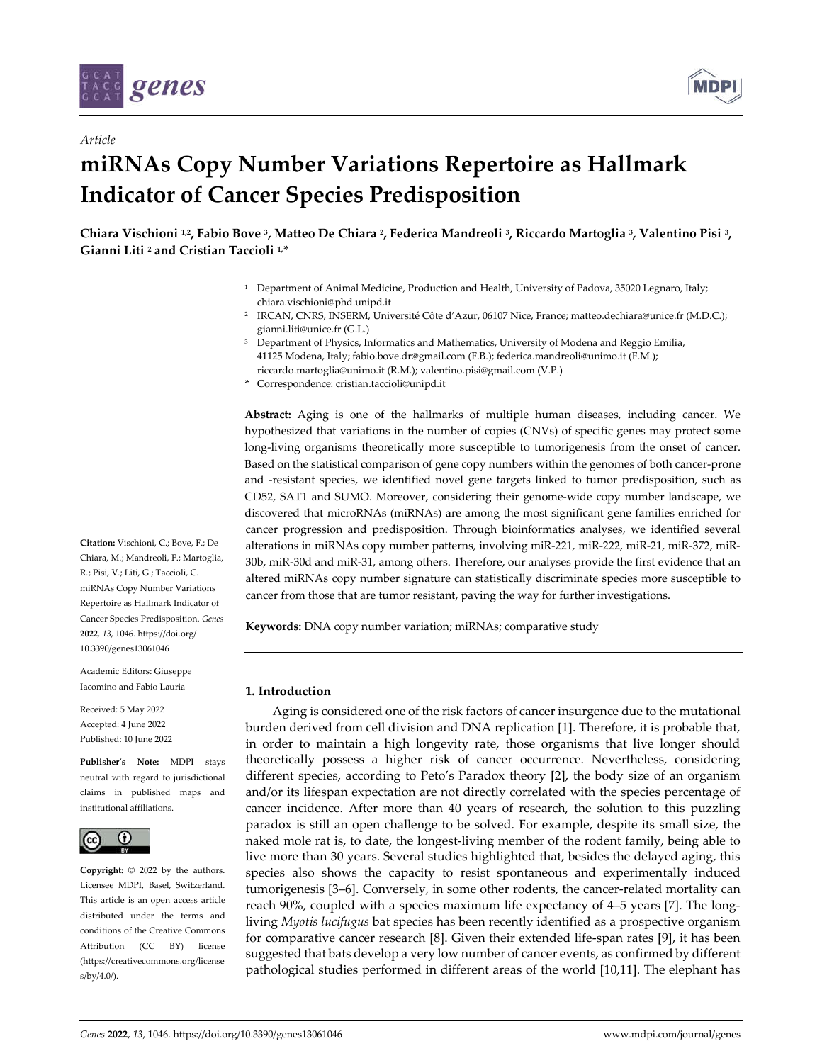

*Article*



# **miRNAs Copy Number Variations Repertoire as Hallmark Indicator of Cancer Species Predisposition**

**Chiara Vischioni 1,2, Fabio Bove 3, Matteo De Chiara 2, Federica Mandreoli 3, Riccardo Martoglia 3, Valentino Pisi 3, Gianni Liti <sup>2</sup> and Cristian Taccioli 1,\***

- <sup>1</sup> Department of Animal Medicine, Production and Health, University of Padova, 35020 Legnaro, Italy; chiara.vischioni@phd.unipd.it
- <sup>2</sup> IRCAN, CNRS, INSERM, Université Côte d'Azur, 06107 Nice, France; matteo.dechiara@unice.fr (M.D.C.); gianni.liti@unice.fr (G.L.)
- <sup>3</sup> Department of Physics, Informatics and Mathematics, University of Modena and Reggio Emilia, 41125 Modena, Italy; fabio.bove.dr@gmail.com (F.B.); federica.mandreoli@unimo.it (F.M.); riccardo.martoglia@unimo.it (R.M.); valentino.pisi@gmail.com (V.P.)
- **\*** Correspondence: cristian.taccioli@unipd.it

**Abstract:** Aging is one of the hallmarks of multiple human diseases, including cancer. We hypothesized that variations in the number of copies (CNVs) of specific genes may protect some long-living organisms theoretically more susceptible to tumorigenesis from the onset of cancer. Based on the statistical comparison of gene copy numbers within the genomes of both cancer-prone and -resistant species, we identified novel gene targets linked to tumor predisposition, such as CD52, SAT1 and SUMO. Moreover, considering their genome-wide copy number landscape, we discovered that microRNAs (miRNAs) are among the most significant gene families enriched for cancer progression and predisposition. Through bioinformatics analyses, we identified several alterations in miRNAs copy number patterns, involving miR-221, miR-222, miR-21, miR-372, miR-30b, miR-30d and miR-31, among others. Therefore, our analyses provide the first evidence that an altered miRNAs copy number signature can statistically discriminate species more susceptible to cancer from those that are tumor resistant, paving the way for further investigations.

**Keywords:** DNA copy number variation; miRNAs; comparative study

# **1. Introduction**

Aging is considered one of the risk factors of cancer insurgence due to the mutational burden derived from cell division and DNA replication [1]. Therefore, it is probable that, in order to maintain a high longevity rate, those organisms that live longer should theoretically possess a higher risk of cancer occurrence. Nevertheless, considering different species, according to Peto's Paradox theory [2], the body size of an organism and/or its lifespan expectation are not directly correlated with the species percentage of cancer incidence. After more than 40 years of research, the solution to this puzzling paradox is still an open challenge to be solved. For example, despite its small size, the naked mole rat is, to date, the longest-living member of the rodent family, being able to live more than 30 years. Several studies highlighted that, besides the delayed aging, this species also shows the capacity to resist spontaneous and experimentally induced tumorigenesis [3–6]. Conversely, in some other rodents, the cancer-related mortality can reach 90%, coupled with a species maximum life expectancy of 4–5 years [7]. The longliving *Myotis lucifugus* bat species has been recently identified as a prospective organism for comparative cancer research [8]. Given their extended life-span rates [9], it has been suggested that bats develop a very low number of cancer events, as confirmed by different pathological studies performed in different areas of the world [10,11]. The elephant has

**Citation:** Vischioni, C.; Bove, F.; De Chiara, M.; Mandreoli, F.; Martoglia, R.; Pisi, V.; Liti, G.; Taccioli, C. miRNAs Copy Number Variations Repertoire as Hallmark Indicator of Cancer Species Predisposition. *Genes*  **2022**, *13*, 1046. https://doi.org/ 10.3390/genes13061046

Academic Editors: Giuseppe Iacomino and Fabio Lauria

Received: 5 May 2022 Accepted: 4 June 2022 Published: 10 June 2022

**Publisher's Note:** MDPI stays neutral with regard to jurisdictional claims in published maps and institutional affiliations.



**Copyright:** © 2022 by the authors. Licensee MDPI, Basel, Switzerland. This article is an open access article distributed under the terms and conditions of the Creative Commons Attribution (CC BY) license (https://creativecommons.org/license s/by/4.0/).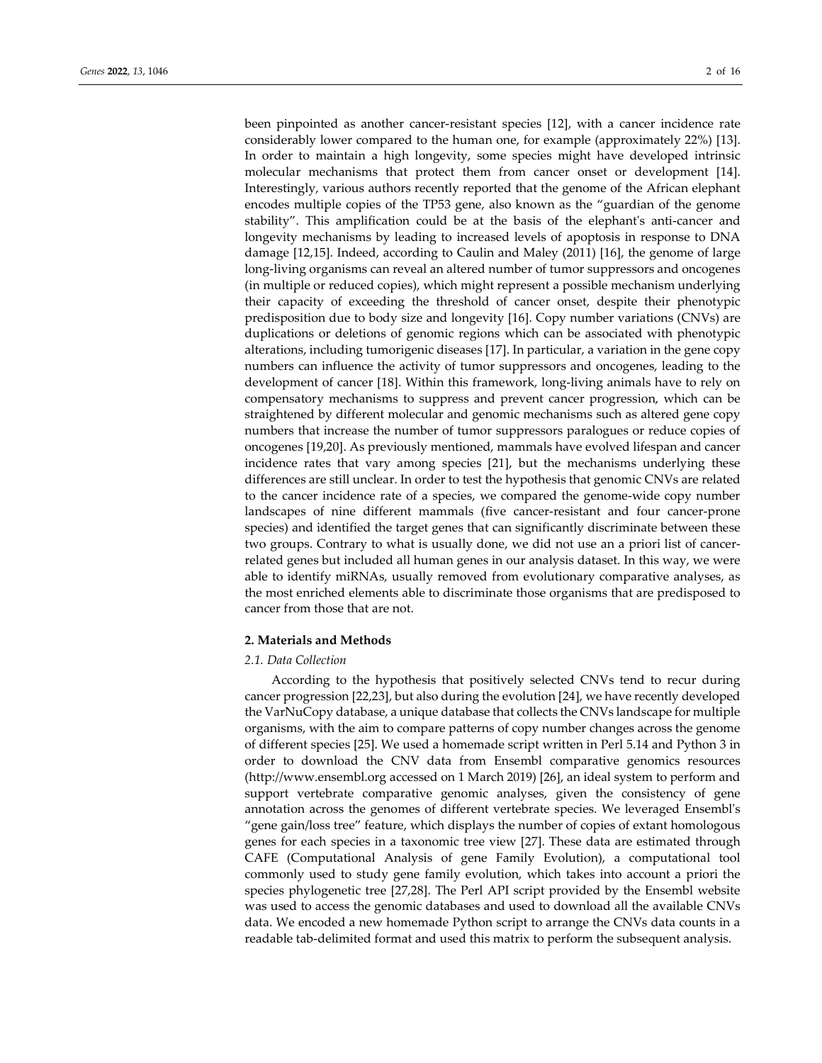been pinpointed as another cancer-resistant species [12], with a cancer incidence rate considerably lower compared to the human one, for example (approximately 22%) [13]. In order to maintain a high longevity, some species might have developed intrinsic molecular mechanisms that protect them from cancer onset or development [14]. Interestingly, various authors recently reported that the genome of the African elephant encodes multiple copies of the TP53 gene, also known as the "guardian of the genome stability". This amplification could be at the basis of the elephant's anti-cancer and longevity mechanisms by leading to increased levels of apoptosis in response to DNA damage [12,15]. Indeed, according to Caulin and Maley (2011) [16], the genome of large long-living organisms can reveal an altered number of tumor suppressors and oncogenes (in multiple or reduced copies), which might represent a possible mechanism underlying their capacity of exceeding the threshold of cancer onset, despite their phenotypic predisposition due to body size and longevity [16]. Copy number variations (CNVs) are duplications or deletions of genomic regions which can be associated with phenotypic alterations, including tumorigenic diseases [17]. In particular, a variation in the gene copy numbers can influence the activity of tumor suppressors and oncogenes, leading to the development of cancer [18]. Within this framework, long-living animals have to rely on compensatory mechanisms to suppress and prevent cancer progression, which can be straightened by different molecular and genomic mechanisms such as altered gene copy numbers that increase the number of tumor suppressors paralogues or reduce copies of oncogenes [19,20]. As previously mentioned, mammals have evolved lifespan and cancer incidence rates that vary among species [21], but the mechanisms underlying these differences are still unclear. In order to test the hypothesis that genomic CNVs are related to the cancer incidence rate of a species, we compared the genome-wide copy number landscapes of nine different mammals (five cancer-resistant and four cancer-prone species) and identified the target genes that can significantly discriminate between these two groups. Contrary to what is usually done, we did not use an a priori list of cancerrelated genes but included all human genes in our analysis dataset. In this way, we were able to identify miRNAs, usually removed from evolutionary comparative analyses, as the most enriched elements able to discriminate those organisms that are predisposed to cancer from those that are not.

# **2. Materials and Methods**

# *2.1. Data Collection*

According to the hypothesis that positively selected CNVs tend to recur during cancer progression [22,23], but also during the evolution [24], we have recently developed the VarNuCopy database, a unique database that collects the CNVs landscape for multiple organisms, with the aim to compare patterns of copy number changes across the genome of different species [25]. We used a homemade script written in Perl 5.14 and Python 3 in order to download the CNV data from Ensembl comparative genomics resources (http://www.ensembl.org accessed on 1 March 2019) [26], an ideal system to perform and support vertebrate comparative genomic analyses, given the consistency of gene annotation across the genomes of different vertebrate species. We leveraged Ensembl's "gene gain/loss tree" feature, which displays the number of copies of extant homologous genes for each species in a taxonomic tree view [27]. These data are estimated through CAFE (Computational Analysis of gene Family Evolution), a computational tool commonly used to study gene family evolution, which takes into account a priori the species phylogenetic tree [27,28]. The Perl API script provided by the Ensembl website was used to access the genomic databases and used to download all the available CNVs data. We encoded a new homemade Python script to arrange the CNVs data counts in a readable tab-delimited format and used this matrix to perform the subsequent analysis.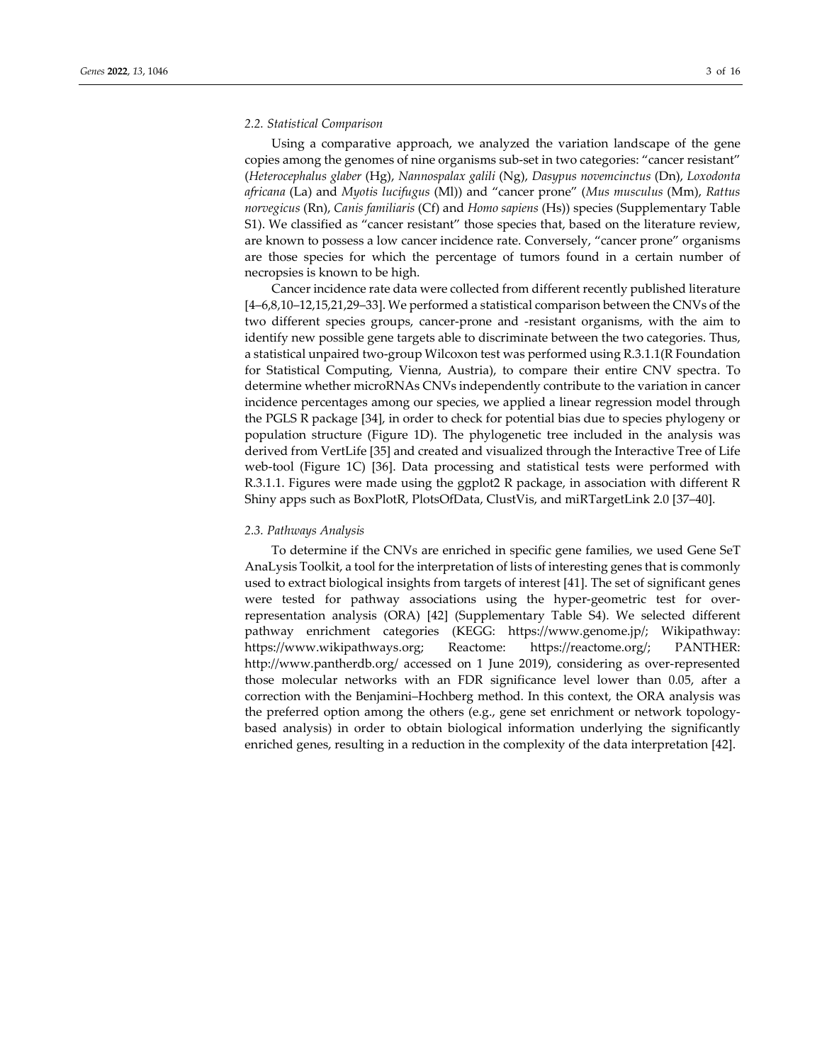#### *2.2. Statistical Comparison*

Using a comparative approach, we analyzed the variation landscape of the gene copies among the genomes of nine organisms sub-set in two categories: "cancer resistant" (*Heterocephalus glaber* (Hg), *Nannospalax galili* (Ng), *Dasypus novemcinctus* (Dn), *Loxodonta africana* (La) and *Myotis lucifugus* (Ml)) and "cancer prone" (*Mus musculus* (Mm), *Rattus norvegicus* (Rn), *Canis familiaris* (Cf) and *Homo sapiens* (Hs)) species (Supplementary Table S1). We classified as "cancer resistant" those species that, based on the literature review, are known to possess a low cancer incidence rate. Conversely, "cancer prone" organisms are those species for which the percentage of tumors found in a certain number of necropsies is known to be high.

Cancer incidence rate data were collected from different recently published literature [4–6,8,10–12,15,21,29–33]. We performed a statistical comparison between the CNVs of the two different species groups, cancer-prone and -resistant organisms, with the aim to identify new possible gene targets able to discriminate between the two categories. Thus, a statistical unpaired two-group Wilcoxon test was performed using R.3.1.1(R Foundation for Statistical Computing, Vienna, Austria), to compare their entire CNV spectra. To determine whether microRNAs CNVs independently contribute to the variation in cancer incidence percentages among our species, we applied a linear regression model through the PGLS R package [34], in order to check for potential bias due to species phylogeny or population structure (Figure 1D). The phylogenetic tree included in the analysis was derived from VertLife [35] and created and visualized through the Interactive Tree of Life web-tool (Figure 1C) [36]. Data processing and statistical tests were performed with R.3.1.1. Figures were made using the ggplot2 R package, in association with different R Shiny apps such as BoxPlotR, PlotsOfData, ClustVis, and miRTargetLink 2.0 [37–40].

#### *2.3. Pathways Analysis*

To determine if the CNVs are enriched in specific gene families, we used Gene SeT AnaLysis Toolkit, a tool for the interpretation of lists of interesting genes that is commonly used to extract biological insights from targets of interest [41]. The set of significant genes were tested for pathway associations using the hyper-geometric test for overrepresentation analysis (ORA) [42] (Supplementary Table S4). We selected different pathway enrichment categories (KEGG: https://www.genome.jp/; Wikipathway: https://www.wikipathways.org; Reactome: https://reactome.org/; PANTHER: http://www.pantherdb.org/ accessed on 1 June 2019), considering as over-represented those molecular networks with an FDR significance level lower than 0.05, after a correction with the Benjamini–Hochberg method. In this context, the ORA analysis was the preferred option among the others (e.g., gene set enrichment or network topologybased analysis) in order to obtain biological information underlying the significantly enriched genes, resulting in a reduction in the complexity of the data interpretation [42].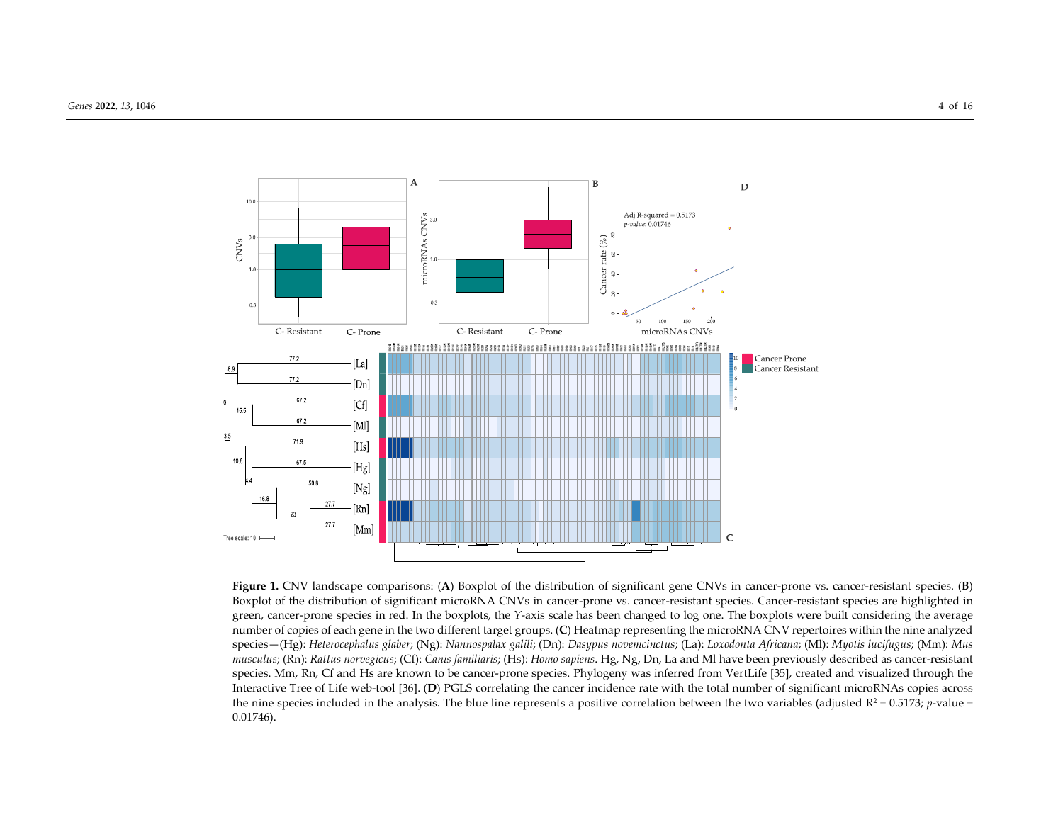

**Figure 1.** CNV landscape comparisons: (**A**) Boxplot of the distribution of significant gene CNVs in cancer-prone vs. cancer-resistant species. (**B**) Boxplot of the distribution of significant microRNA CNVs in cancer-prone vs. cancer-resistant species. Cancer-resistant species are highlighted in green, cancer-prone species in red. In the boxplots, the *Y*-axis scale has been changed to log one. The boxplots were built considering the average number of copies of each gene in the two different target groups. (**C**) Heatmap representing the microRNA CNV repertoires within the nine analyzed species—(Hg): *Heterocephalus glaber*; (Ng): *Nannospalax galili*; (Dn): *Dasypus novemcinctus*; (La): *Loxodonta Africana*; (Ml): *Myotis lucifugus*; (Mm): *Mus musculus*; (Rn): *Rattus norvegicus*; (Cf): *Canis familiaris*; (Hs): *Homo sapiens*. Hg, Ng, Dn, La and Ml have been previously described as cancer-resistant species. Mm, Rn, Cf and Hs are known to be cancer-prone species. Phylogeny was inferred from VertLife [35], created and visualized through the Interactive Tree of Life web-tool [36]. (**D**) PGLS correlating the cancer incidence rate with the total number of significant microRNAs copies across the nine species included in the analysis. The blue line represents a positive correlation between the two variables (adjusted  $R^2 = 0.5173$ ; *p*-value = 0.01746).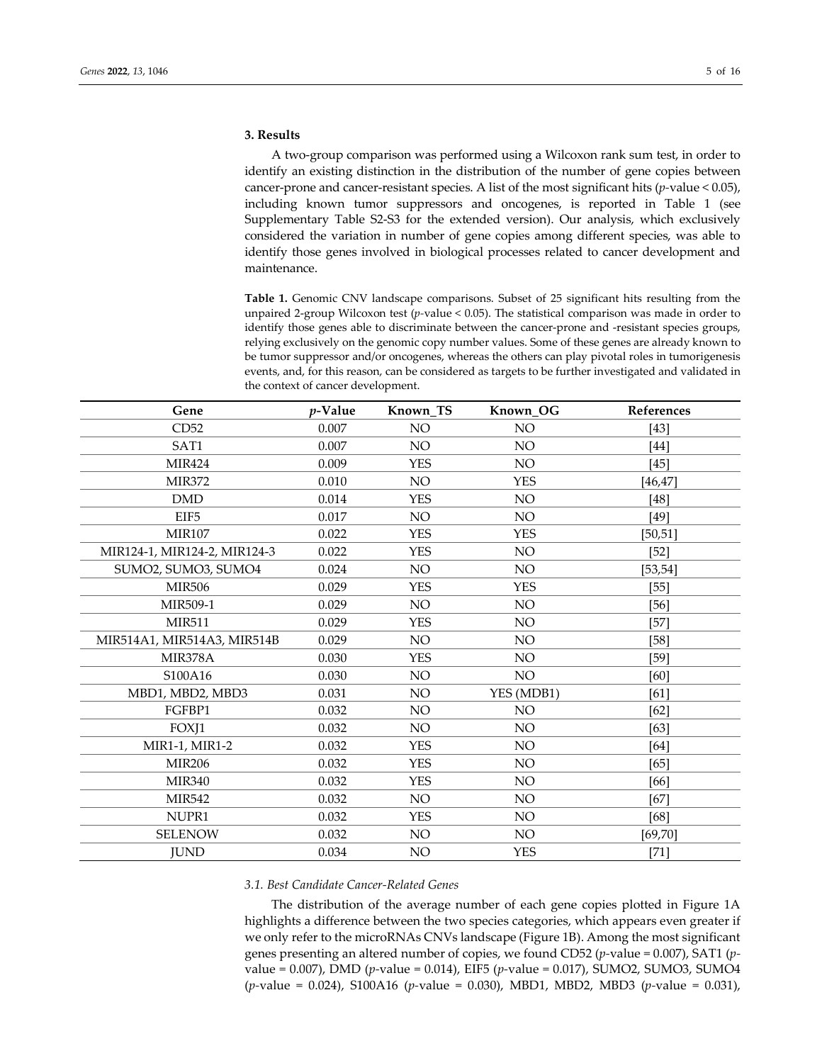## **3. Results**

A two-group comparison was performed using a Wilcoxon rank sum test, in order to identify an existing distinction in the distribution of the number of gene copies between cancer-prone and cancer-resistant species. A list of the most significant hits (*p-*value < 0.05), including known tumor suppressors and oncogenes, is reported in Table 1 (see Supplementary Table S2-S3 for the extended version). Our analysis, which exclusively considered the variation in number of gene copies among different species, was able to identify those genes involved in biological processes related to cancer development and maintenance.

**Table 1.** Genomic CNV landscape comparisons. Subset of 25 significant hits resulting from the unpaired 2-group Wilcoxon test (*p-*value < 0.05). The statistical comparison was made in order to identify those genes able to discriminate between the cancer-prone and -resistant species groups, relying exclusively on the genomic copy number values. Some of these genes are already known to be tumor suppressor and/or oncogenes, whereas the others can play pivotal roles in tumorigenesis events, and, for this reason, can be considered as targets to be further investigated and validated in the context of cancer development.

| Gene                         | $p$ -Value | Known_TS   | Known_OG        | References |
|------------------------------|------------|------------|-----------------|------------|
| CD52                         | 0.007      | NO         | NO              | $[43]$     |
| SAT1                         | 0.007      | NO         | NO              | [44]       |
| <b>MIR424</b>                | 0.009      | <b>YES</b> | NO              | [45]       |
| <b>MIR372</b>                | 0.010      | NO         | <b>YES</b>      | $[46, 47]$ |
| <b>DMD</b>                   | 0.014      | <b>YES</b> | NO              | [48]       |
| EIF <sub>5</sub>             | 0.017      | NO         | NO              | [49]       |
| <b>MIR107</b>                | 0.022      | <b>YES</b> | <b>YES</b>      | [50, 51]   |
| MIR124-1, MIR124-2, MIR124-3 | 0.022      | <b>YES</b> | <b>NO</b>       | $[52]$     |
| SUMO2, SUMO3, SUMO4          | 0.024      | NO         | NO              | [53, 54]   |
| <b>MIR506</b>                | 0.029      | <b>YES</b> | <b>YES</b>      | $[55]$     |
| MIR509-1                     | 0.029      | NO         | NO              | $[56]$     |
| <b>MIR511</b>                | 0.029      | <b>YES</b> | $\rm NO$        | $[57]$     |
| MIR514A1, MIR514A3, MIR514B  | 0.029      | NO         | NO              | $[58]$     |
| MIR378A                      | 0.030      | <b>YES</b> | NO              | $[59]$     |
| S100A16                      | 0.030      | NO         | <b>NO</b>       | [60]       |
| MBD1, MBD2, MBD3             | 0.031      | NO         | YES (MDB1)      | [61]       |
| FGFBP1                       | 0.032      | NO.        | <b>NO</b>       | [62]       |
| FOXJ1                        | 0.032      | NO         | NO              | $[63]$     |
| MIR1-1, MIR1-2               | 0.032      | <b>YES</b> | NO              | [64]       |
| <b>MIR206</b>                | 0.032      | <b>YES</b> | NO              | [65]       |
| <b>MIR340</b>                | 0.032      | <b>YES</b> | NO              | [66]       |
| <b>MIR542</b>                | 0.032      | NO         | NO              | [67]       |
| NUPR1                        | 0.032      | <b>YES</b> | <b>NO</b>       | [68]       |
| <b>SELENOW</b>               | 0.032      | NO.        | NO <sub>1</sub> | [69, 70]   |
| <b>JUND</b>                  | 0.034      | NO         | <b>YES</b>      | $[71]$     |

# *3.1. Best Candidate Cancer-Related Genes*

The distribution of the average number of each gene copies plotted in Figure 1A highlights a difference between the two species categories, which appears even greater if we only refer to the microRNAs CNVs landscape (Figure 1B). Among the most significant genes presenting an altered number of copies, we found CD52 (*p-*value = 0.007), SAT1 (*p*value = 0.007), DMD (*p-*value = 0.014), EIF5 (*p-*value = 0.017), SUMO2, SUMO3, SUMO4 (*p-*value = 0.024), S100A16 (*p-*value = 0.030), MBD1, MBD2, MBD3 (*p-*value = 0.031),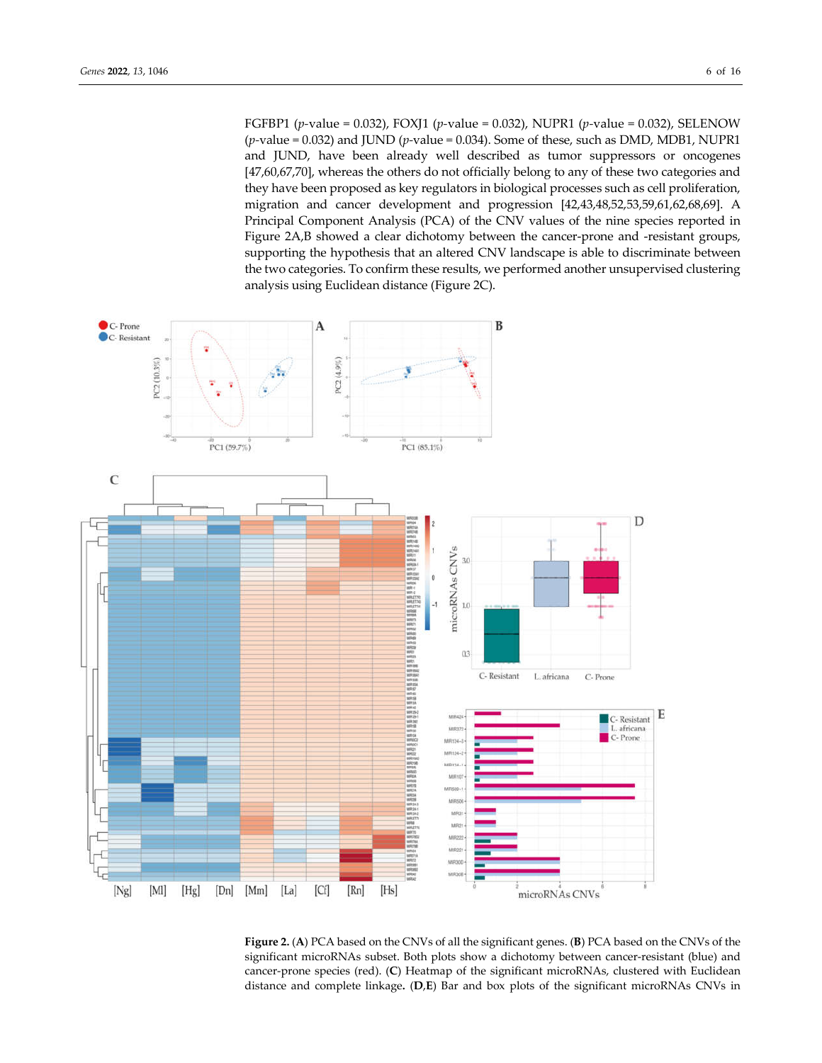FGFBP1 (*p-*value = 0.032), FOXJ1 (*p-*value = 0.032), NUPR1 (*p-*value = 0.032), SELENOW (*p-*value = 0.032) and JUND (*p-*value = 0.034). Some of these, such as DMD, MDB1, NUPR1 and JUND, have been already well described as tumor suppressors or oncogenes [47,60,67,70], whereas the others do not officially belong to any of these two categories and they have been proposed as key regulators in biological processes such as cell proliferation, migration and cancer development and progression [42,43,48,52,53,59,61,62,68,69]. A Principal Component Analysis (PCA) of the CNV values of the nine species reported in Figure 2A,B showed a clear dichotomy between the cancer-prone and -resistant groups, supporting the hypothesis that an altered CNV landscape is able to discriminate between the two categories. To confirm these results, we performed another unsupervised clustering analysis using Euclidean distance (Figure 2C).



**Figure 2.** (**A**) PCA based on the CNVs of all the significant genes. (**B**) PCA based on the CNVs of the significant microRNAs subset. Both plots show a dichotomy between cancer-resistant (blue) and cancer-prone species (red). (**C**) Heatmap of the significant microRNAs, clustered with Euclidean distance and complete linkage**.** (**D**,**E**) Bar and box plots of the significant microRNAs CNVs in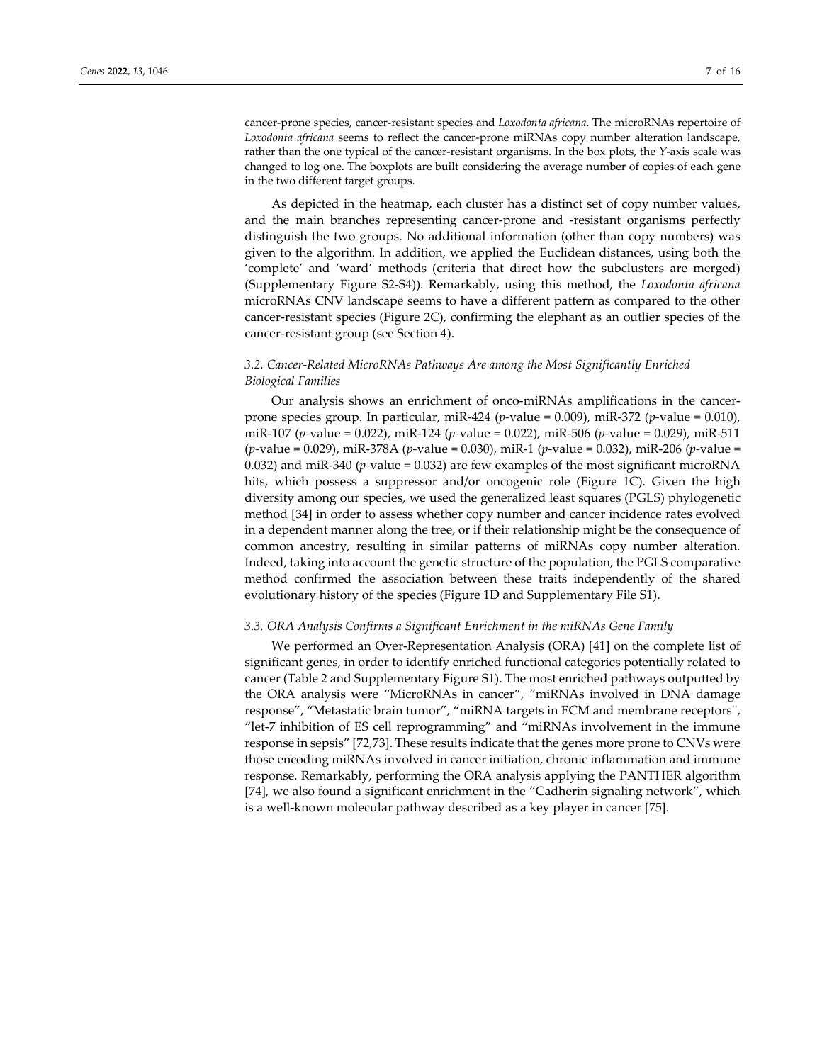cancer-prone species, cancer-resistant species and *Loxodonta africana*. The microRNAs repertoire of *Loxodonta africana* seems to reflect the cancer-prone miRNAs copy number alteration landscape, rather than the one typical of the cancer-resistant organisms. In the box plots, the *Y*-axis scale was changed to log one. The boxplots are built considering the average number of copies of each gene in the two different target groups.

As depicted in the heatmap, each cluster has a distinct set of copy number values, and the main branches representing cancer-prone and -resistant organisms perfectly distinguish the two groups. No additional information (other than copy numbers) was given to the algorithm. In addition, we applied the Euclidean distances, using both the 'complete' and 'ward' methods (criteria that direct how the subclusters are merged) (Supplementary Figure S2-S4)). Remarkably, using this method, the *Loxodonta africana* microRNAs CNV landscape seems to have a different pattern as compared to the other cancer-resistant species (Figure 2C), confirming the elephant as an outlier species of the cancer-resistant group (see Section 4).

# *3.2. Cancer-Related MicroRNAs Pathways Are among the Most Significantly Enriched Biological Families*

Our analysis shows an enrichment of onco-miRNAs amplifications in the cancerprone species group. In particular, miR-424 (*p-*value = 0.009), miR-372 (*p-*value = 0.010), miR-107 (*p-*value = 0.022), miR-124 (*p-*value = 0.022), miR-506 (*p-*value = 0.029), miR-511 (*p-*value = 0.029), miR-378A (*p-*value = 0.030), miR-1 (*p-*value = 0.032), miR-206 (*p-*value = 0.032) and miR-340 (*p-*value = 0.032) are few examples of the most significant microRNA hits, which possess a suppressor and/or oncogenic role (Figure 1C). Given the high diversity among our species, we used the generalized least squares (PGLS) phylogenetic method [34] in order to assess whether copy number and cancer incidence rates evolved in a dependent manner along the tree, or if their relationship might be the consequence of common ancestry, resulting in similar patterns of miRNAs copy number alteration. Indeed, taking into account the genetic structure of the population, the PGLS comparative method confirmed the association between these traits independently of the shared evolutionary history of the species (Figure 1D and Supplementary File S1).

#### *3.3. ORA Analysis Confirms a Significant Enrichment in the miRNAs Gene Family*

We performed an Over-Representation Analysis (ORA) [41] on the complete list of significant genes, in order to identify enriched functional categories potentially related to cancer (Table 2 and Supplementary Figure S1). The most enriched pathways outputted by the ORA analysis were "MicroRNAs in cancer", "miRNAs involved in DNA damage response", "Metastatic brain tumor", "miRNA targets in ECM and membrane receptors'', "let-7 inhibition of ES cell reprogramming" and "miRNAs involvement in the immune response in sepsis" [72,73]. These results indicate that the genes more prone to CNVs were those encoding miRNAs involved in cancer initiation, chronic inflammation and immune response. Remarkably, performing the ORA analysis applying the PANTHER algorithm [74], we also found a significant enrichment in the "Cadherin signaling network", which is a well-known molecular pathway described as a key player in cancer [75].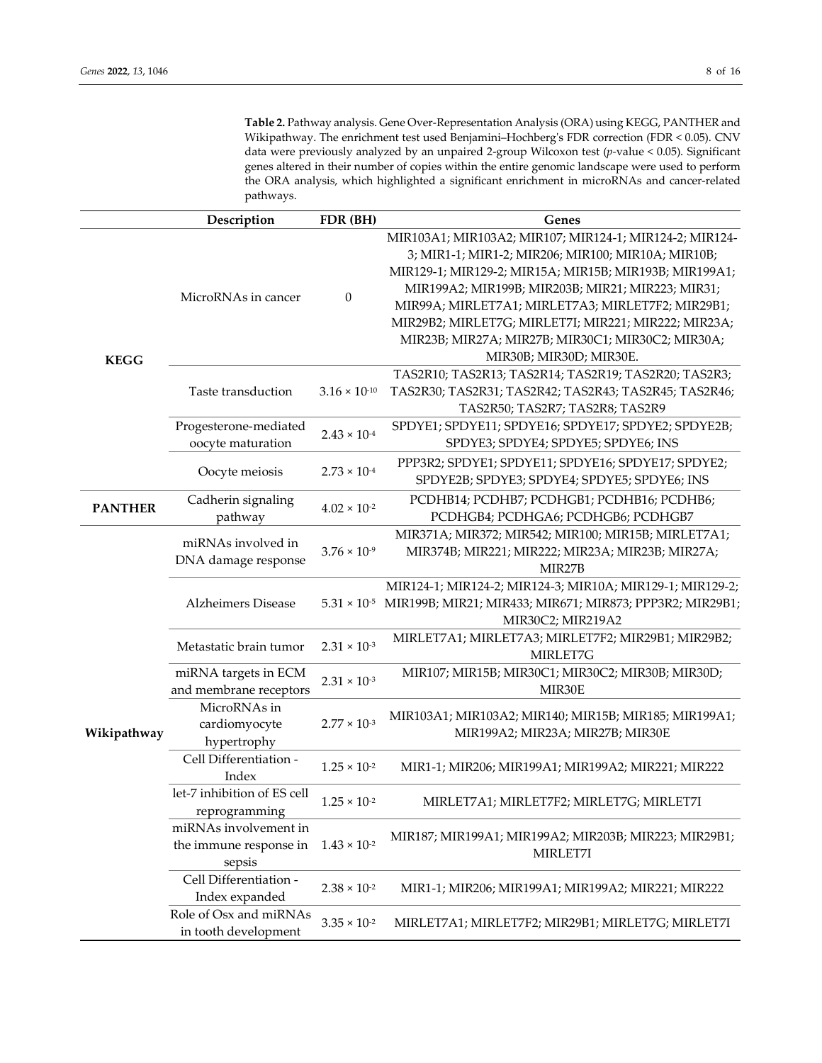**Table 2.** Pathway analysis. Gene Over-Representation Analysis (ORA) using KEGG, PANTHER and Wikipathway. The enrichment test used Benjamini–Hochberg's FDR correction (FDR < 0.05). CNV data were previously analyzed by an unpaired 2-group Wilcoxon test (*p-*value < 0.05). Significant genes altered in their number of copies within the entire genomic landscape were used to perform the ORA analysis, which highlighted a significant enrichment in microRNAs and cancer-related pathways.

|                | Description                                               | FDR (BH)               | Genes                                                                                                                                                                                                                                                                                                                                                                                                                     |  |
|----------------|-----------------------------------------------------------|------------------------|---------------------------------------------------------------------------------------------------------------------------------------------------------------------------------------------------------------------------------------------------------------------------------------------------------------------------------------------------------------------------------------------------------------------------|--|
| <b>KEGG</b>    | MicroRNAs in cancer                                       | 0                      | MIR103A1; MIR103A2; MIR107; MIR124-1; MIR124-2; MIR124-<br>3; MIR1-1; MIR1-2; MIR206; MIR100; MIR10A; MIR10B;<br>MIR129-1; MIR129-2; MIR15A; MIR15B; MIR193B; MIR199A1;<br>MIR199A2; MIR199B; MIR203B; MIR21; MIR223; MIR31;<br>MIR99A; MIRLET7A1; MIRLET7A3; MIRLET7F2; MIR29B1;<br>MIR29B2; MIRLET7G; MIRLET7I; MIR221; MIR222; MIR23A;<br>MIR23B; MIR27A; MIR27B; MIR30C1; MIR30C2; MIR30A;<br>MIR30B; MIR30D; MIR30E. |  |
|                | Taste transduction                                        | $3.16 \times 10^{-10}$ | TAS2R10; TAS2R13; TAS2R14; TAS2R19; TAS2R20; TAS2R3;<br>TAS2R30; TAS2R31; TAS2R42; TAS2R43; TAS2R45; TAS2R46;<br>TAS2R50; TAS2R7; TAS2R8; TAS2R9                                                                                                                                                                                                                                                                          |  |
|                | Progesterone-mediated<br>oocyte maturation                | $2.43 \times 10^{-4}$  | SPDYE1; SPDYE11; SPDYE16; SPDYE17; SPDYE2; SPDYE2B;<br>SPDYE3; SPDYE4; SPDYE5; SPDYE6; INS                                                                                                                                                                                                                                                                                                                                |  |
|                | Oocyte meiosis                                            | $2.73 \times 10^{-4}$  | PPP3R2; SPDYE1; SPDYE11; SPDYE16; SPDYE17; SPDYE2;<br>SPDYE2B; SPDYE3; SPDYE4; SPDYE5; SPDYE6; INS                                                                                                                                                                                                                                                                                                                        |  |
| <b>PANTHER</b> | Cadherin signaling<br>pathway                             | $4.02 \times 10^{-2}$  | PCDHB14; PCDHB7; PCDHGB1; PCDHB16; PCDHB6;<br>PCDHGB4; PCDHGA6; PCDHGB6; PCDHGB7                                                                                                                                                                                                                                                                                                                                          |  |
| Wikipathway    | miRNAs involved in<br>DNA damage response                 | $3.76 \times 10^{-9}$  | MIR371A; MIR372; MIR542; MIR100; MIR15B; MIRLET7A1;<br>MIR374B; MIR221; MIR222; MIR23A; MIR23B; MIR27A;<br>MIR27B                                                                                                                                                                                                                                                                                                         |  |
|                | <b>Alzheimers Disease</b>                                 |                        | MIR124-1; MIR124-2; MIR124-3; MIR10A; MIR129-1; MIR129-2;<br>5.31 × 10 <sup>-5</sup> MIR199B; MIR21; MIR433; MIR671; MIR873; PPP3R2; MIR29B1;<br>MIR30C2; MIR219A2                                                                                                                                                                                                                                                        |  |
|                | Metastatic brain tumor                                    | $2.31 \times 10^{-3}$  | MIRLET7A1; MIRLET7A3; MIRLET7F2; MIR29B1; MIR29B2;<br>MIRLET7G                                                                                                                                                                                                                                                                                                                                                            |  |
|                | miRNA targets in ECM<br>and membrane receptors            | $2.31 \times 10^{-3}$  | MIR107; MIR15B; MIR30C1; MIR30C2; MIR30B; MIR30D;<br>MIR30E                                                                                                                                                                                                                                                                                                                                                               |  |
|                | MicroRNAs in<br>cardiomyocyte<br>hypertrophy              | $2.77 \times 10^{-3}$  | MIR103A1; MIR103A2; MIR140; MIR15B; MIR185; MIR199A1;<br>MIR199A2; MIR23A; MIR27B; MIR30E                                                                                                                                                                                                                                                                                                                                 |  |
|                | Cell Differentiation -<br>Index                           | $1.25 \times 10^{-2}$  | MIR1-1; MIR206; MIR199A1; MIR199A2; MIR221; MIR222                                                                                                                                                                                                                                                                                                                                                                        |  |
|                | let-7 inhibition of ES cell<br>reprogramming              | $1.25 \times 10^{-2}$  | MIRLET7A1; MIRLET7F2; MIRLET7G; MIRLET7I                                                                                                                                                                                                                                                                                                                                                                                  |  |
|                | miRNAs involvement in<br>the immune response in<br>sepsis | $1.43 \times 10^{-2}$  | MIR187; MIR199A1; MIR199A2; MIR203B; MIR223; MIR29B1;<br>MIRLET7I                                                                                                                                                                                                                                                                                                                                                         |  |
|                | Cell Differentiation -<br>Index expanded                  | $2.38 \times 10^{-2}$  | MIR1-1; MIR206; MIR199A1; MIR199A2; MIR221; MIR222                                                                                                                                                                                                                                                                                                                                                                        |  |
|                | Role of Osx and miRNAs<br>in tooth development            | $3.35 \times 10^{-2}$  | MIRLET7A1; MIRLET7F2; MIR29B1; MIRLET7G; MIRLET7I                                                                                                                                                                                                                                                                                                                                                                         |  |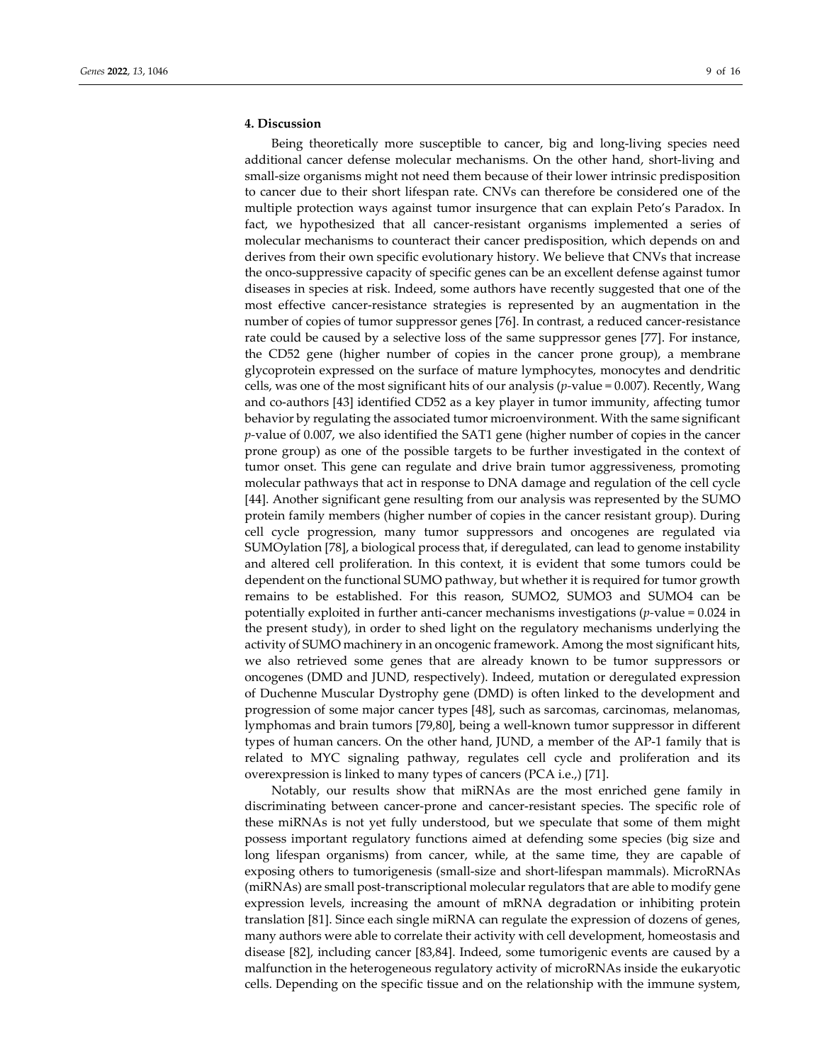# **4. Discussion**

Being theoretically more susceptible to cancer, big and long-living species need additional cancer defense molecular mechanisms. On the other hand, short-living and small-size organisms might not need them because of their lower intrinsic predisposition to cancer due to their short lifespan rate. CNVs can therefore be considered one of the multiple protection ways against tumor insurgence that can explain Peto's Paradox. In fact, we hypothesized that all cancer-resistant organisms implemented a series of molecular mechanisms to counteract their cancer predisposition, which depends on and derives from their own specific evolutionary history. We believe that CNVs that increase the onco-suppressive capacity of specific genes can be an excellent defense against tumor diseases in species at risk. Indeed, some authors have recently suggested that one of the most effective cancer-resistance strategies is represented by an augmentation in the number of copies of tumor suppressor genes [76]. In contrast, a reduced cancer-resistance rate could be caused by a selective loss of the same suppressor genes [77]. For instance, the CD52 gene (higher number of copies in the cancer prone group), a membrane glycoprotein expressed on the surface of mature lymphocytes, monocytes and dendritic cells, was one of the most significant hits of our analysis (*p-*value = 0.007). Recently, Wang and co-authors [43] identified CD52 as a key player in tumor immunity, affecting tumor behavior by regulating the associated tumor microenvironment. With the same significant *p-*value of 0.007, we also identified the SAT1 gene (higher number of copies in the cancer prone group) as one of the possible targets to be further investigated in the context of tumor onset. This gene can regulate and drive brain tumor aggressiveness, promoting molecular pathways that act in response to DNA damage and regulation of the cell cycle [44]. Another significant gene resulting from our analysis was represented by the SUMO protein family members (higher number of copies in the cancer resistant group). During cell cycle progression, many tumor suppressors and oncogenes are regulated via SUMOylation [78], a biological process that, if deregulated, can lead to genome instability and altered cell proliferation. In this context, it is evident that some tumors could be dependent on the functional SUMO pathway, but whether it is required for tumor growth remains to be established. For this reason, SUMO2, SUMO3 and SUMO4 can be potentially exploited in further anti-cancer mechanisms investigations (*p-*value = 0.024 in the present study), in order to shed light on the regulatory mechanisms underlying the activity of SUMO machinery in an oncogenic framework. Among the most significant hits, we also retrieved some genes that are already known to be tumor suppressors or oncogenes (DMD and JUND, respectively). Indeed, mutation or deregulated expression of Duchenne Muscular Dystrophy gene (DMD) is often linked to the development and progression of some major cancer types [48], such as sarcomas, carcinomas, melanomas, lymphomas and brain tumors [79,80], being a well-known tumor suppressor in different types of human cancers. On the other hand, JUND, a member of the AP-1 family that is related to MYC signaling pathway, regulates cell cycle and proliferation and its overexpression is linked to many types of cancers (PCA i.e.,) [71].

Notably, our results show that miRNAs are the most enriched gene family in discriminating between cancer-prone and cancer-resistant species. The specific role of these miRNAs is not yet fully understood, but we speculate that some of them might possess important regulatory functions aimed at defending some species (big size and long lifespan organisms) from cancer, while, at the same time, they are capable of exposing others to tumorigenesis (small-size and short-lifespan mammals). MicroRNAs (miRNAs) are small post-transcriptional molecular regulators that are able to modify gene expression levels, increasing the amount of mRNA degradation or inhibiting protein translation [81]. Since each single miRNA can regulate the expression of dozens of genes, many authors were able to correlate their activity with cell development, homeostasis and disease [82], including cancer [83,84]. Indeed, some tumorigenic events are caused by a malfunction in the heterogeneous regulatory activity of microRNAs inside the eukaryotic cells. Depending on the specific tissue and on the relationship with the immune system,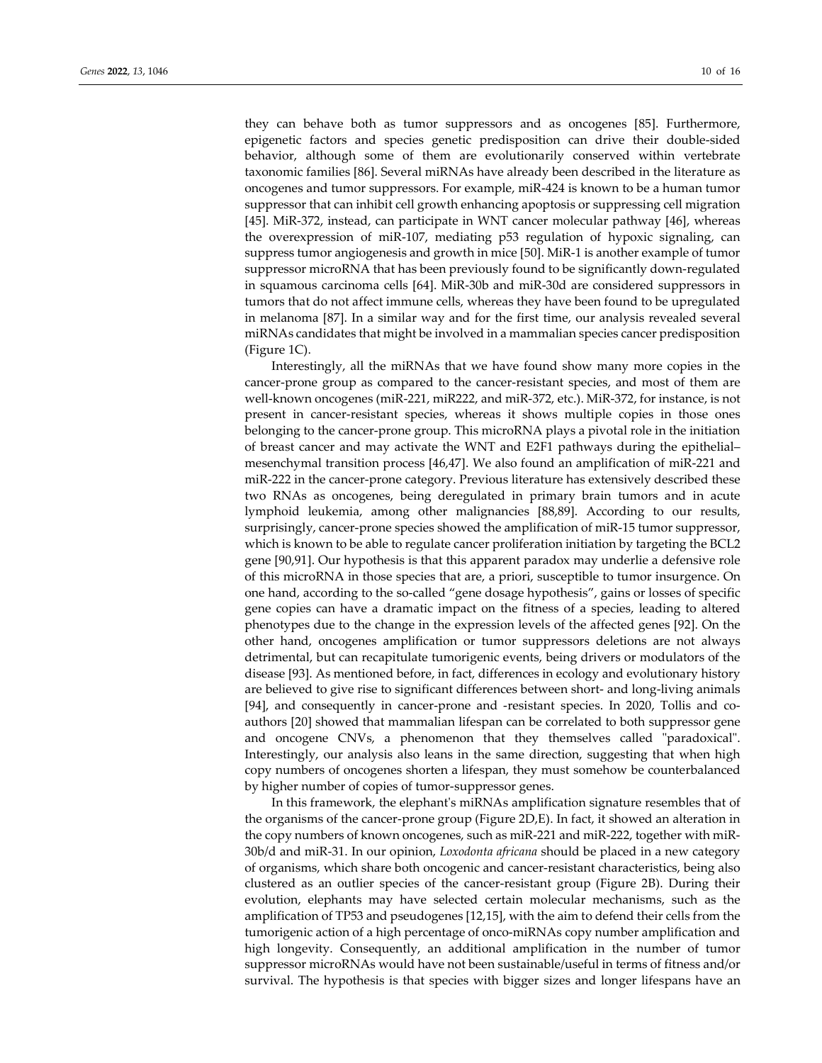they can behave both as tumor suppressors and as oncogenes [85]. Furthermore, epigenetic factors and species genetic predisposition can drive their double-sided behavior, although some of them are evolutionarily conserved within vertebrate taxonomic families [86]. Several miRNAs have already been described in the literature as oncogenes and tumor suppressors. For example, miR-424 is known to be a human tumor suppressor that can inhibit cell growth enhancing apoptosis or suppressing cell migration [45]. MiR-372, instead, can participate in WNT cancer molecular pathway [46], whereas the overexpression of miR-107, mediating p53 regulation of hypoxic signaling, can suppress tumor angiogenesis and growth in mice [50]. MiR-1 is another example of tumor suppressor microRNA that has been previously found to be significantly down-regulated in squamous carcinoma cells [64]. MiR-30b and miR-30d are considered suppressors in tumors that do not affect immune cells, whereas they have been found to be upregulated in melanoma [87]. In a similar way and for the first time, our analysis revealed several miRNAs candidates that might be involved in a mammalian species cancer predisposition (Figure 1C).

Interestingly, all the miRNAs that we have found show many more copies in the cancer-prone group as compared to the cancer-resistant species, and most of them are well-known oncogenes (miR-221, miR222, and miR-372, etc.). MiR-372, for instance, is not present in cancer-resistant species, whereas it shows multiple copies in those ones belonging to the cancer-prone group. This microRNA plays a pivotal role in the initiation of breast cancer and may activate the WNT and E2F1 pathways during the epithelial– mesenchymal transition process [46,47]. We also found an amplification of miR-221 and miR-222 in the cancer-prone category. Previous literature has extensively described these two RNAs as oncogenes, being deregulated in primary brain tumors and in acute lymphoid leukemia, among other malignancies [88,89]. According to our results, surprisingly, cancer-prone species showed the amplification of miR-15 tumor suppressor, which is known to be able to regulate cancer proliferation initiation by targeting the BCL2 gene [90,91]. Our hypothesis is that this apparent paradox may underlie a defensive role of this microRNA in those species that are, a priori, susceptible to tumor insurgence. On one hand, according to the so-called "gene dosage hypothesis", gains or losses of specific gene copies can have a dramatic impact on the fitness of a species, leading to altered phenotypes due to the change in the expression levels of the affected genes [92]. On the other hand, oncogenes amplification or tumor suppressors deletions are not always detrimental, but can recapitulate tumorigenic events, being drivers or modulators of the disease [93]. As mentioned before, in fact, differences in ecology and evolutionary history are believed to give rise to significant differences between short- and long-living animals [94], and consequently in cancer-prone and -resistant species. In 2020, Tollis and coauthors [20] showed that mammalian lifespan can be correlated to both suppressor gene and oncogene CNVs, a phenomenon that they themselves called "paradoxical". Interestingly, our analysis also leans in the same direction, suggesting that when high copy numbers of oncogenes shorten a lifespan, they must somehow be counterbalanced by higher number of copies of tumor-suppressor genes.

In this framework, the elephant's miRNAs amplification signature resembles that of the organisms of the cancer-prone group (Figure 2D,E). In fact, it showed an alteration in the copy numbers of known oncogenes, such as miR-221 and miR-222, together with miR-30b/d and miR-31. In our opinion, *Loxodonta africana* should be placed in a new category of organisms, which share both oncogenic and cancer-resistant characteristics, being also clustered as an outlier species of the cancer-resistant group (Figure 2B). During their evolution, elephants may have selected certain molecular mechanisms, such as the amplification of TP53 and pseudogenes [12,15], with the aim to defend their cells from the tumorigenic action of a high percentage of onco-miRNAs copy number amplification and high longevity. Consequently, an additional amplification in the number of tumor suppressor microRNAs would have not been sustainable/useful in terms of fitness and/or survival. The hypothesis is that species with bigger sizes and longer lifespans have an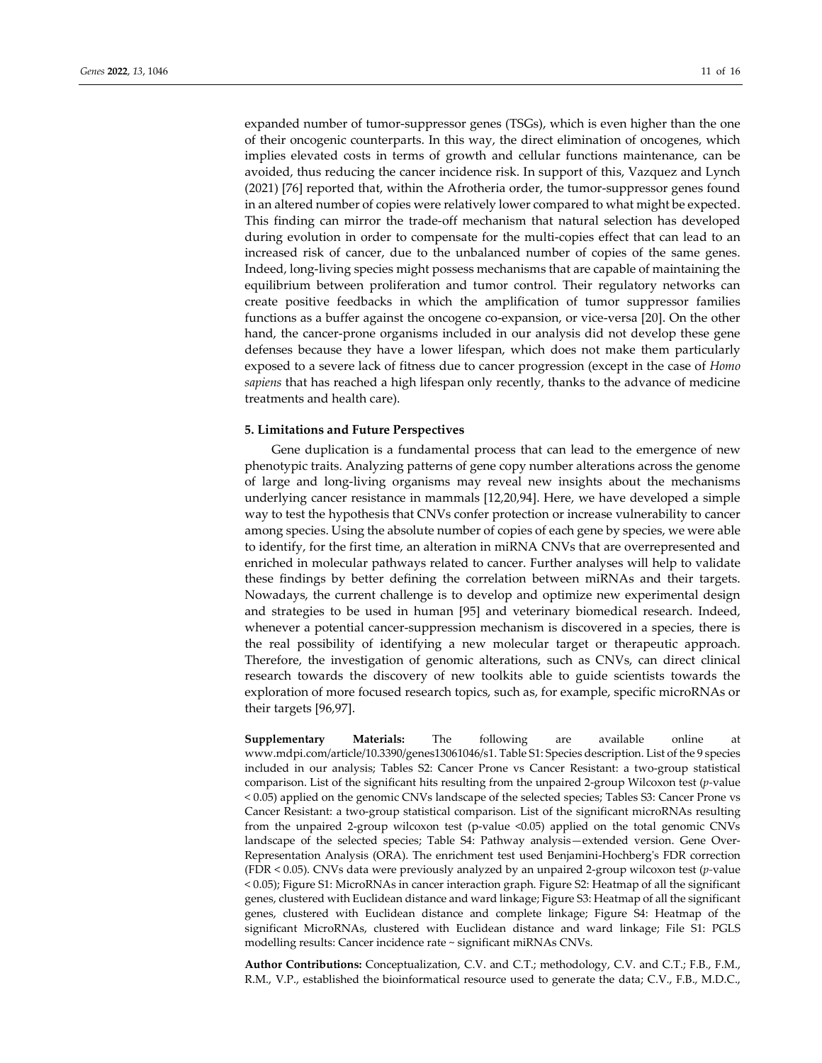expanded number of tumor-suppressor genes (TSGs), which is even higher than the one of their oncogenic counterparts. In this way, the direct elimination of oncogenes, which implies elevated costs in terms of growth and cellular functions maintenance, can be avoided, thus reducing the cancer incidence risk. In support of this, Vazquez and Lynch (2021) [76] reported that, within the Afrotheria order, the tumor-suppressor genes found in an altered number of copies were relatively lower compared to what might be expected. This finding can mirror the trade-off mechanism that natural selection has developed during evolution in order to compensate for the multi-copies effect that can lead to an increased risk of cancer, due to the unbalanced number of copies of the same genes. Indeed, long-living species might possess mechanisms that are capable of maintaining the equilibrium between proliferation and tumor control. Their regulatory networks can create positive feedbacks in which the amplification of tumor suppressor families functions as a buffer against the oncogene co-expansion, or vice-versa [20]. On the other hand, the cancer-prone organisms included in our analysis did not develop these gene defenses because they have a lower lifespan, which does not make them particularly exposed to a severe lack of fitness due to cancer progression (except in the case of *Homo sapiens* that has reached a high lifespan only recently, thanks to the advance of medicine treatments and health care).

## **5. Limitations and Future Perspectives**

Gene duplication is a fundamental process that can lead to the emergence of new phenotypic traits. Analyzing patterns of gene copy number alterations across the genome of large and long-living organisms may reveal new insights about the mechanisms underlying cancer resistance in mammals [12,20,94]. Here, we have developed a simple way to test the hypothesis that CNVs confer protection or increase vulnerability to cancer among species. Using the absolute number of copies of each gene by species, we were able to identify, for the first time, an alteration in miRNA CNVs that are overrepresented and enriched in molecular pathways related to cancer. Further analyses will help to validate these findings by better defining the correlation between miRNAs and their targets. Nowadays, the current challenge is to develop and optimize new experimental design and strategies to be used in human [95] and veterinary biomedical research. Indeed, whenever a potential cancer-suppression mechanism is discovered in a species, there is the real possibility of identifying a new molecular target or therapeutic approach. Therefore, the investigation of genomic alterations, such as CNVs, can direct clinical research towards the discovery of new toolkits able to guide scientists towards the exploration of more focused research topics, such as, for example, specific microRNAs or their targets [96,97].

**Supplementary Materials:** The following are available online at www.mdpi.com/article/10.3390/genes13061046/s1. Table S1: Species description. List of the 9 species included in our analysis; Tables S2: Cancer Prone vs Cancer Resistant: a two-group statistical comparison. List of the significant hits resulting from the unpaired 2-group Wilcoxon test (*p-*value < 0.05) applied on the genomic CNVs landscape of the selected species; Tables S3: Cancer Prone vs Cancer Resistant: a two-group statistical comparison. List of the significant microRNAs resulting from the unpaired 2-group wilcoxon test (p-value <0.05) applied on the total genomic CNVs landscape of the selected species; Table S4: Pathway analysis—extended version. Gene Over-Representation Analysis (ORA). The enrichment test used Benjamini-Hochberg's FDR correction (FDR < 0.05). CNVs data were previously analyzed by an unpaired 2-group wilcoxon test (*p-*value < 0.05); Figure S1: MicroRNAs in cancer interaction graph. Figure S2: Heatmap of all the significant genes, clustered with Euclidean distance and ward linkage; Figure S3: Heatmap of all the significant genes, clustered with Euclidean distance and complete linkage; Figure S4: Heatmap of the significant MicroRNAs, clustered with Euclidean distance and ward linkage; File S1: PGLS modelling results: Cancer incidence rate ~ significant miRNAs CNVs.

**Author Contributions:** Conceptualization, C.V. and C.T.; methodology, C.V. and C.T.; F.B., F.M., R.M., V.P., established the bioinformatical resource used to generate the data; C.V., F.B., M.D.C.,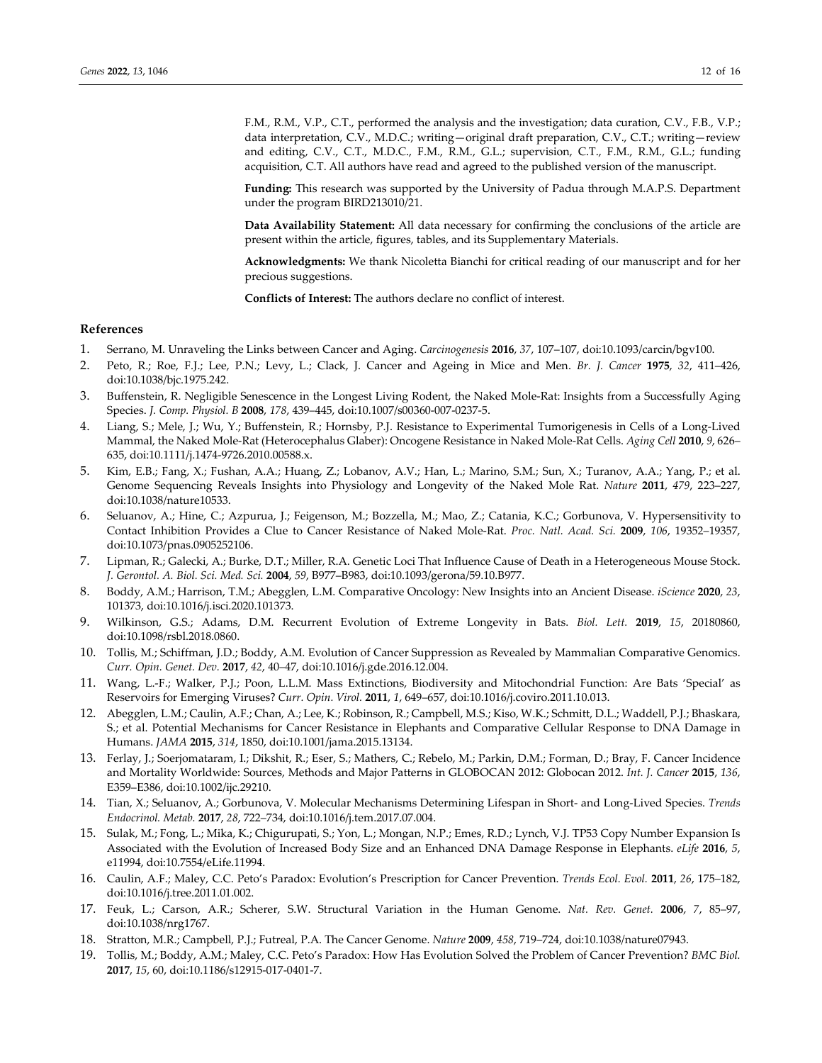F.M., R.M., V.P., C.T., performed the analysis and the investigation; data curation, C.V., F.B., V.P.; data interpretation, C.V., M.D.C.; writing—original draft preparation, C.V., C.T.; writing—review and editing, C.V., C.T., M.D.C., F.M., R.M., G.L.; supervision, C.T., F.M., R.M., G.L.; funding acquisition, C.T. All authors have read and agreed to the published version of the manuscript.

**Funding:** This research was supported by the University of Padua through M.A.P.S. Department under the program BIRD213010/21.

**Data Availability Statement:** All data necessary for confirming the conclusions of the article are present within the article, figures, tables, and its Supplementary Materials.

**Acknowledgments:** We thank Nicoletta Bianchi for critical reading of our manuscript and for her precious suggestions.

**Conflicts of Interest:** The authors declare no conflict of interest.

## **References**

- 1. Serrano, M. Unraveling the Links between Cancer and Aging. *Carcinogenesis* **2016**, *37*, 107–107, doi:10.1093/carcin/bgv100.
- 2. Peto, R.; Roe, F.J.; Lee, P.N.; Levy, L.; Clack, J. Cancer and Ageing in Mice and Men. *Br. J. Cancer* **1975**, *32*, 411–426, doi:10.1038/bjc.1975.242.
- 3. Buffenstein, R. Negligible Senescence in the Longest Living Rodent, the Naked Mole-Rat: Insights from a Successfully Aging Species. *J. Comp. Physiol. B* **2008**, *178*, 439–445, doi:10.1007/s00360-007-0237-5.
- 4. Liang, S.; Mele, J.; Wu, Y.; Buffenstein, R.; Hornsby, P.J. Resistance to Experimental Tumorigenesis in Cells of a Long-Lived Mammal, the Naked Mole-Rat (Heterocephalus Glaber): Oncogene Resistance in Naked Mole-Rat Cells. *Aging Cell* **2010**, *9*, 626– 635, doi:10.1111/j.1474-9726.2010.00588.x.
- 5. Kim, E.B.; Fang, X.; Fushan, A.A.; Huang, Z.; Lobanov, A.V.; Han, L.; Marino, S.M.; Sun, X.; Turanov, A.A.; Yang, P.; et al. Genome Sequencing Reveals Insights into Physiology and Longevity of the Naked Mole Rat. *Nature* **2011**, *479*, 223–227, doi:10.1038/nature10533.
- 6. Seluanov, A.; Hine, C.; Azpurua, J.; Feigenson, M.; Bozzella, M.; Mao, Z.; Catania, K.C.; Gorbunova, V. Hypersensitivity to Contact Inhibition Provides a Clue to Cancer Resistance of Naked Mole-Rat. *Proc. Natl. Acad. Sci.* **2009**, *106*, 19352–19357, doi:10.1073/pnas.0905252106.
- 7. Lipman, R.; Galecki, A.; Burke, D.T.; Miller, R.A. Genetic Loci That Influence Cause of Death in a Heterogeneous Mouse Stock. *J. Gerontol. A. Biol. Sci. Med. Sci.* **2004**, *59*, B977–B983, doi:10.1093/gerona/59.10.B977.
- 8. Boddy, A.M.; Harrison, T.M.; Abegglen, L.M. Comparative Oncology: New Insights into an Ancient Disease. *iScience* **2020**, *23*, 101373, doi:10.1016/j.isci.2020.101373.
- 9. Wilkinson, G.S.; Adams, D.M. Recurrent Evolution of Extreme Longevity in Bats. *Biol. Lett.* **2019**, *15*, 20180860, doi:10.1098/rsbl.2018.0860.
- 10. Tollis, M.; Schiffman, J.D.; Boddy, A.M. Evolution of Cancer Suppression as Revealed by Mammalian Comparative Genomics. *Curr. Opin. Genet. Dev.* **2017**, *42*, 40–47, doi:10.1016/j.gde.2016.12.004.
- 11. Wang, L.-F.; Walker, P.J.; Poon, L.L.M. Mass Extinctions, Biodiversity and Mitochondrial Function: Are Bats 'Special' as Reservoirs for Emerging Viruses? *Curr. Opin. Virol.* **2011**, *1*, 649–657, doi:10.1016/j.coviro.2011.10.013.
- 12. Abegglen, L.M.; Caulin, A.F.; Chan, A.; Lee, K.; Robinson, R.; Campbell, M.S.; Kiso, W.K.; Schmitt, D.L.; Waddell, P.J.; Bhaskara, S.; et al. Potential Mechanisms for Cancer Resistance in Elephants and Comparative Cellular Response to DNA Damage in Humans. *JAMA* **2015**, *314*, 1850, doi:10.1001/jama.2015.13134.
- 13. Ferlay, J.; Soerjomataram, I.; Dikshit, R.; Eser, S.; Mathers, C.; Rebelo, M.; Parkin, D.M.; Forman, D.; Bray, F. Cancer Incidence and Mortality Worldwide: Sources, Methods and Major Patterns in GLOBOCAN 2012: Globocan 2012. *Int. J. Cancer* **2015**, *136*, E359–E386, doi:10.1002/ijc.29210.
- 14. Tian, X.; Seluanov, A.; Gorbunova, V. Molecular Mechanisms Determining Lifespan in Short- and Long-Lived Species. *Trends Endocrinol. Metab.* **2017**, *28*, 722–734, doi:10.1016/j.tem.2017.07.004.
- 15. Sulak, M.; Fong, L.; Mika, K.; Chigurupati, S.; Yon, L.; Mongan, N.P.; Emes, R.D.; Lynch, V.J. TP53 Copy Number Expansion Is Associated with the Evolution of Increased Body Size and an Enhanced DNA Damage Response in Elephants. *eLife* **2016**, *5*, e11994, doi:10.7554/eLife.11994.
- 16. Caulin, A.F.; Maley, C.C. Peto's Paradox: Evolution's Prescription for Cancer Prevention. *Trends Ecol. Evol.* **2011**, *26*, 175–182, doi:10.1016/j.tree.2011.01.002.
- 17. Feuk, L.; Carson, A.R.; Scherer, S.W. Structural Variation in the Human Genome. *Nat. Rev. Genet.* **2006**, *7*, 85–97, doi:10.1038/nrg1767.
- 18. Stratton, M.R.; Campbell, P.J.; Futreal, P.A. The Cancer Genome. *Nature* **2009**, *458*, 719–724, doi:10.1038/nature07943.
- 19. Tollis, M.; Boddy, A.M.; Maley, C.C. Peto's Paradox: How Has Evolution Solved the Problem of Cancer Prevention? *BMC Biol.* **2017**, *15*, 60, doi:10.1186/s12915-017-0401-7.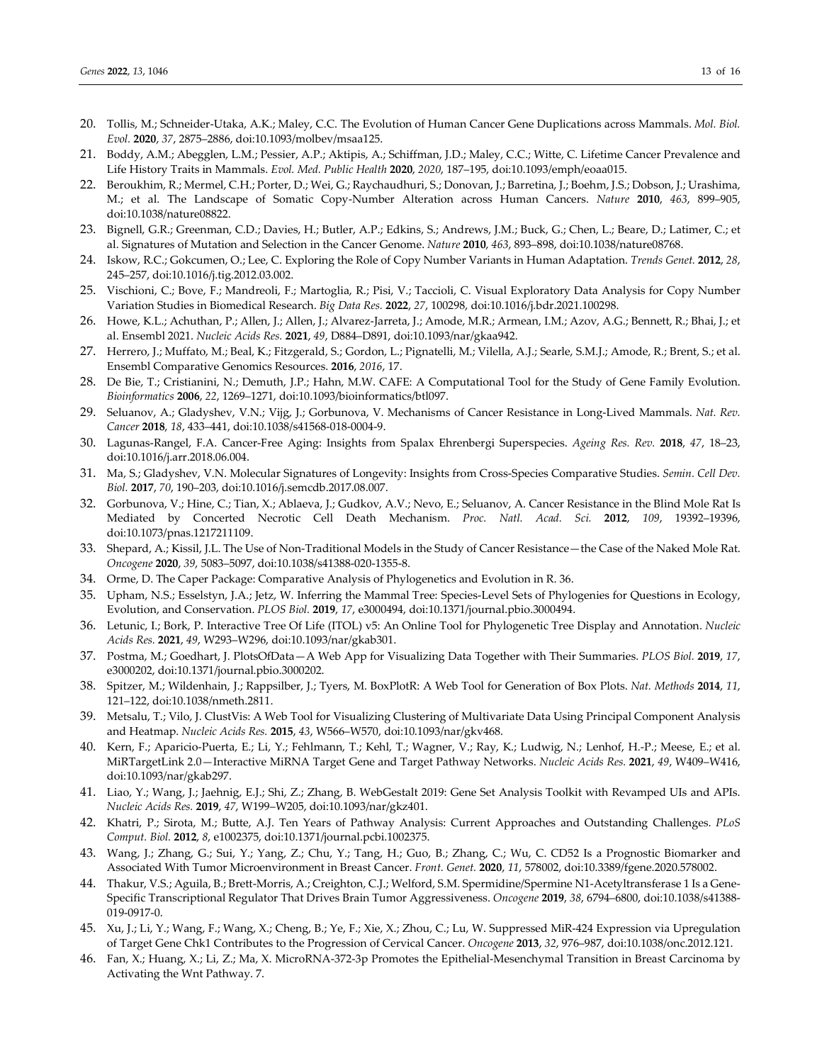- 20. Tollis, M.; Schneider-Utaka, A.K.; Maley, C.C. The Evolution of Human Cancer Gene Duplications across Mammals. *Mol. Biol. Evol.* **2020**, *37*, 2875–2886, doi:10.1093/molbev/msaa125.
- 21. Boddy, A.M.; Abegglen, L.M.; Pessier, A.P.; Aktipis, A.; Schiffman, J.D.; Maley, C.C.; Witte, C. Lifetime Cancer Prevalence and Life History Traits in Mammals. *Evol. Med. Public Health* **2020**, *2020*, 187–195, doi:10.1093/emph/eoaa015.
- 22. Beroukhim, R.; Mermel, C.H.; Porter, D.; Wei, G.; Raychaudhuri, S.; Donovan, J.; Barretina, J.; Boehm, J.S.; Dobson, J.; Urashima, M.; et al. The Landscape of Somatic Copy-Number Alteration across Human Cancers. *Nature* **2010**, *463*, 899–905, doi:10.1038/nature08822.
- 23. Bignell, G.R.; Greenman, C.D.; Davies, H.; Butler, A.P.; Edkins, S.; Andrews, J.M.; Buck, G.; Chen, L.; Beare, D.; Latimer, C.; et al. Signatures of Mutation and Selection in the Cancer Genome. *Nature* **2010**, *463*, 893–898, doi:10.1038/nature08768.
- 24. Iskow, R.C.; Gokcumen, O.; Lee, C. Exploring the Role of Copy Number Variants in Human Adaptation. *Trends Genet.* **2012**, *28*, 245–257, doi:10.1016/j.tig.2012.03.002.
- 25. Vischioni, C.; Bove, F.; Mandreoli, F.; Martoglia, R.; Pisi, V.; Taccioli, C. Visual Exploratory Data Analysis for Copy Number Variation Studies in Biomedical Research. *Big Data Res.* **2022**, *27*, 100298, doi:10.1016/j.bdr.2021.100298.
- 26. Howe, K.L.; Achuthan, P.; Allen, J.; Allen, J.; Alvarez-Jarreta, J.; Amode, M.R.; Armean, I.M.; Azov, A.G.; Bennett, R.; Bhai, J.; et al. Ensembl 2021. *Nucleic Acids Res.* **2021**, *49*, D884–D891, doi:10.1093/nar/gkaa942.
- 27. Herrero, J.; Muffato, M.; Beal, K.; Fitzgerald, S.; Gordon, L.; Pignatelli, M.; Vilella, A.J.; Searle, S.M.J.; Amode, R.; Brent, S.; et al. Ensembl Comparative Genomics Resources. **2016**, *2016*, 17.
- 28. De Bie, T.; Cristianini, N.; Demuth, J.P.; Hahn, M.W. CAFE: A Computational Tool for the Study of Gene Family Evolution. *Bioinformatics* **2006**, *22*, 1269–1271, doi:10.1093/bioinformatics/btl097.
- 29. Seluanov, A.; Gladyshev, V.N.; Vijg, J.; Gorbunova, V. Mechanisms of Cancer Resistance in Long-Lived Mammals. *Nat. Rev. Cancer* **2018**, *18*, 433–441, doi:10.1038/s41568-018-0004-9.
- 30. Lagunas-Rangel, F.A. Cancer-Free Aging: Insights from Spalax Ehrenbergi Superspecies. *Ageing Res. Rev.* **2018**, *47*, 18–23, doi:10.1016/j.arr.2018.06.004.
- 31. Ma, S.; Gladyshev, V.N. Molecular Signatures of Longevity: Insights from Cross-Species Comparative Studies. *Semin. Cell Dev. Biol.* **2017**, *70*, 190–203, doi:10.1016/j.semcdb.2017.08.007.
- 32. Gorbunova, V.; Hine, C.; Tian, X.; Ablaeva, J.; Gudkov, A.V.; Nevo, E.; Seluanov, A. Cancer Resistance in the Blind Mole Rat Is Mediated by Concerted Necrotic Cell Death Mechanism. *Proc. Natl. Acad. Sci.* **2012**, *109*, 19392–19396, doi:10.1073/pnas.1217211109.
- 33. Shepard, A.; Kissil, J.L. The Use of Non-Traditional Models in the Study of Cancer Resistance—the Case of the Naked Mole Rat. *Oncogene* **2020**, *39*, 5083–5097, doi:10.1038/s41388-020-1355-8.
- 34. Orme, D. The Caper Package: Comparative Analysis of Phylogenetics and Evolution in R. 36.
- 35. Upham, N.S.; Esselstyn, J.A.; Jetz, W. Inferring the Mammal Tree: Species-Level Sets of Phylogenies for Questions in Ecology, Evolution, and Conservation. *PLOS Biol.* **2019**, *17*, e3000494, doi:10.1371/journal.pbio.3000494.
- 36. Letunic, I.; Bork, P. Interactive Tree Of Life (ITOL) v5: An Online Tool for Phylogenetic Tree Display and Annotation. *Nucleic Acids Res.* **2021**, *49*, W293–W296, doi:10.1093/nar/gkab301.
- 37. Postma, M.; Goedhart, J. PlotsOfData—A Web App for Visualizing Data Together with Their Summaries. *PLOS Biol.* **2019**, *17*, e3000202, doi:10.1371/journal.pbio.3000202.
- 38. Spitzer, M.; Wildenhain, J.; Rappsilber, J.; Tyers, M. BoxPlotR: A Web Tool for Generation of Box Plots. *Nat. Methods* **2014**, *11*, 121–122, doi:10.1038/nmeth.2811.
- 39. Metsalu, T.; Vilo, J. ClustVis: A Web Tool for Visualizing Clustering of Multivariate Data Using Principal Component Analysis and Heatmap. *Nucleic Acids Res.* **2015**, *43*, W566–W570, doi:10.1093/nar/gkv468.
- 40. Kern, F.; Aparicio-Puerta, E.; Li, Y.; Fehlmann, T.; Kehl, T.; Wagner, V.; Ray, K.; Ludwig, N.; Lenhof, H.-P.; Meese, E.; et al. MiRTargetLink 2.0—Interactive MiRNA Target Gene and Target Pathway Networks. *Nucleic Acids Res.* **2021**, *49*, W409–W416, doi:10.1093/nar/gkab297.
- 41. Liao, Y.; Wang, J.; Jaehnig, E.J.; Shi, Z.; Zhang, B. WebGestalt 2019: Gene Set Analysis Toolkit with Revamped UIs and APIs. *Nucleic Acids Res.* **2019**, *47*, W199–W205, doi:10.1093/nar/gkz401.
- 42. Khatri, P.; Sirota, M.; Butte, A.J. Ten Years of Pathway Analysis: Current Approaches and Outstanding Challenges. *PLoS Comput. Biol.* **2012**, *8*, e1002375, doi:10.1371/journal.pcbi.1002375.
- 43. Wang, J.; Zhang, G.; Sui, Y.; Yang, Z.; Chu, Y.; Tang, H.; Guo, B.; Zhang, C.; Wu, C. CD52 Is a Prognostic Biomarker and Associated With Tumor Microenvironment in Breast Cancer. *Front. Genet.* **2020**, *11*, 578002, doi:10.3389/fgene.2020.578002.
- 44. Thakur, V.S.; Aguila, B.; Brett-Morris, A.; Creighton, C.J.; Welford, S.M. Spermidine/Spermine N1-Acetyltransferase 1 Is a Gene-Specific Transcriptional Regulator That Drives Brain Tumor Aggressiveness. *Oncogene* **2019**, *38*, 6794–6800, doi:10.1038/s41388- 019-0917-0.
- 45. Xu, J.; Li, Y.; Wang, F.; Wang, X.; Cheng, B.; Ye, F.; Xie, X.; Zhou, C.; Lu, W. Suppressed MiR-424 Expression via Upregulation of Target Gene Chk1 Contributes to the Progression of Cervical Cancer. *Oncogene* **2013**, *32*, 976–987, doi:10.1038/onc.2012.121.
- 46. Fan, X.; Huang, X.; Li, Z.; Ma, X. MicroRNA-372-3p Promotes the Epithelial-Mesenchymal Transition in Breast Carcinoma by Activating the Wnt Pathway. 7.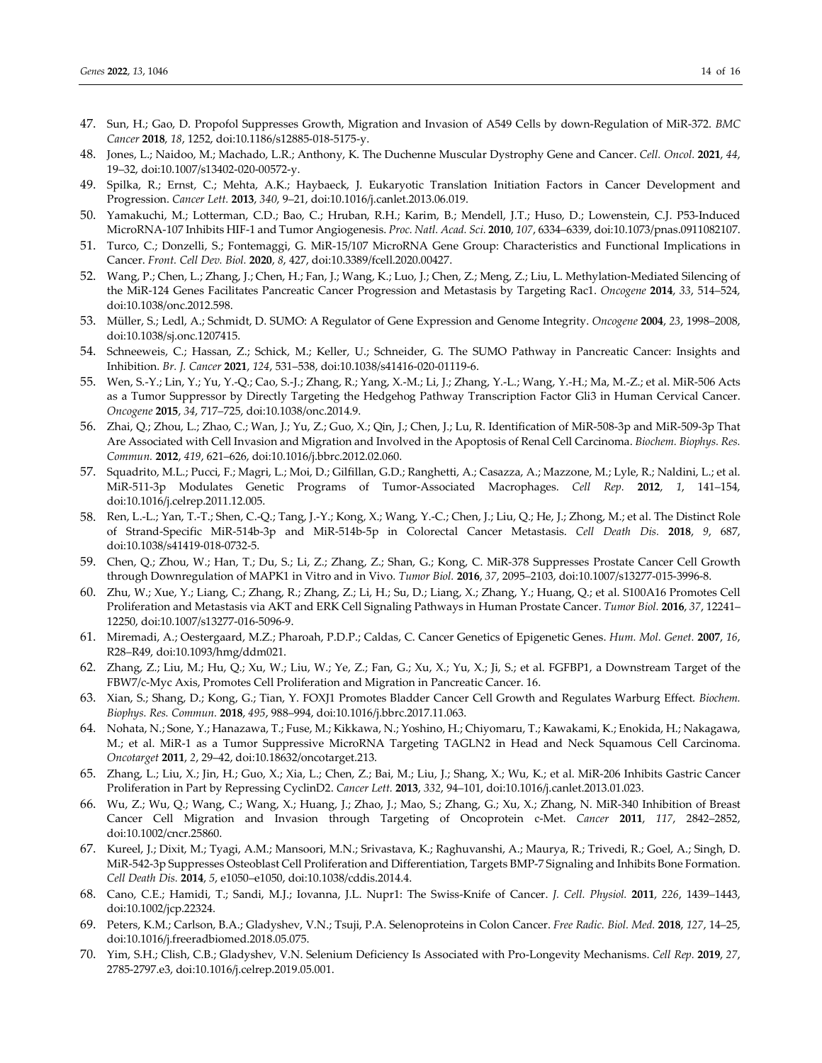- 47. Sun, H.; Gao, D. Propofol Suppresses Growth, Migration and Invasion of A549 Cells by down-Regulation of MiR-372. *BMC Cancer* **2018**, *18*, 1252, doi:10.1186/s12885-018-5175-y.
- 48. Jones, L.; Naidoo, M.; Machado, L.R.; Anthony, K. The Duchenne Muscular Dystrophy Gene and Cancer. *Cell. Oncol.* **2021**, *44*, 19–32, doi:10.1007/s13402-020-00572-y.
- 49. Spilka, R.; Ernst, C.; Mehta, A.K.; Haybaeck, J. Eukaryotic Translation Initiation Factors in Cancer Development and Progression. *Cancer Lett.* **2013**, *340*, 9–21, doi:10.1016/j.canlet.2013.06.019.
- 50. Yamakuchi, M.; Lotterman, C.D.; Bao, C.; Hruban, R.H.; Karim, B.; Mendell, J.T.; Huso, D.; Lowenstein, C.J. P53-Induced MicroRNA-107 Inhibits HIF-1 and Tumor Angiogenesis. *Proc. Natl. Acad. Sci.* **2010**, *107*, 6334–6339, doi:10.1073/pnas.0911082107.
- 51. Turco, C.; Donzelli, S.; Fontemaggi, G. MiR-15/107 MicroRNA Gene Group: Characteristics and Functional Implications in Cancer. *Front. Cell Dev. Biol.* **2020**, *8*, 427, doi:10.3389/fcell.2020.00427.
- 52. Wang, P.; Chen, L.; Zhang, J.; Chen, H.; Fan, J.; Wang, K.; Luo, J.; Chen, Z.; Meng, Z.; Liu, L. Methylation-Mediated Silencing of the MiR-124 Genes Facilitates Pancreatic Cancer Progression and Metastasis by Targeting Rac1. *Oncogene* **2014**, *33*, 514–524, doi:10.1038/onc.2012.598.
- 53. Müller, S.; Ledl, A.; Schmidt, D. SUMO: A Regulator of Gene Expression and Genome Integrity. *Oncogene* **2004**, *23*, 1998–2008, doi:10.1038/sj.onc.1207415.
- 54. Schneeweis, C.; Hassan, Z.; Schick, M.; Keller, U.; Schneider, G. The SUMO Pathway in Pancreatic Cancer: Insights and Inhibition. *Br. J. Cancer* **2021**, *124*, 531–538, doi:10.1038/s41416-020-01119-6.
- 55. Wen, S.-Y.; Lin, Y.; Yu, Y.-Q.; Cao, S.-J.; Zhang, R.; Yang, X.-M.; Li, J.; Zhang, Y.-L.; Wang, Y.-H.; Ma, M.-Z.; et al. MiR-506 Acts as a Tumor Suppressor by Directly Targeting the Hedgehog Pathway Transcription Factor Gli3 in Human Cervical Cancer. *Oncogene* **2015**, *34*, 717–725, doi:10.1038/onc.2014.9.
- 56. Zhai, Q.; Zhou, L.; Zhao, C.; Wan, J.; Yu, Z.; Guo, X.; Qin, J.; Chen, J.; Lu, R. Identification of MiR-508-3p and MiR-509-3p That Are Associated with Cell Invasion and Migration and Involved in the Apoptosis of Renal Cell Carcinoma. *Biochem. Biophys. Res. Commun.* **2012**, *419*, 621–626, doi:10.1016/j.bbrc.2012.02.060.
- 57. Squadrito, M.L.; Pucci, F.; Magri, L.; Moi, D.; Gilfillan, G.D.; Ranghetti, A.; Casazza, A.; Mazzone, M.; Lyle, R.; Naldini, L.; et al. MiR-511-3p Modulates Genetic Programs of Tumor-Associated Macrophages. *Cell Rep.* **2012**, *1*, 141–154, doi:10.1016/j.celrep.2011.12.005.
- 58. Ren, L.-L.; Yan, T.-T.; Shen, C.-Q.; Tang, J.-Y.; Kong, X.; Wang, Y.-C.; Chen, J.; Liu, Q.; He, J.; Zhong, M.; et al. The Distinct Role of Strand-Specific MiR-514b-3p and MiR-514b-5p in Colorectal Cancer Metastasis. *Cell Death Dis.* **2018**, *9*, 687, doi:10.1038/s41419-018-0732-5.
- 59. Chen, Q.; Zhou, W.; Han, T.; Du, S.; Li, Z.; Zhang, Z.; Shan, G.; Kong, C. MiR-378 Suppresses Prostate Cancer Cell Growth through Downregulation of MAPK1 in Vitro and in Vivo. *Tumor Biol.* **2016**, *37*, 2095–2103, doi:10.1007/s13277-015-3996-8.
- 60. Zhu, W.; Xue, Y.; Liang, C.; Zhang, R.; Zhang, Z.; Li, H.; Su, D.; Liang, X.; Zhang, Y.; Huang, Q.; et al. S100A16 Promotes Cell Proliferation and Metastasis via AKT and ERK Cell Signaling Pathways in Human Prostate Cancer. *Tumor Biol.* **2016**, *37*, 12241– 12250, doi:10.1007/s13277-016-5096-9.
- 61. Miremadi, A.; Oestergaard, M.Z.; Pharoah, P.D.P.; Caldas, C. Cancer Genetics of Epigenetic Genes. *Hum. Mol. Genet.* **2007**, *16*, R28–R49, doi:10.1093/hmg/ddm021.
- 62. Zhang, Z.; Liu, M.; Hu, Q.; Xu, W.; Liu, W.; Ye, Z.; Fan, G.; Xu, X.; Yu, X.; Ji, S.; et al. FGFBP1, a Downstream Target of the FBW7/c-Myc Axis, Promotes Cell Proliferation and Migration in Pancreatic Cancer. 16.
- 63. Xian, S.; Shang, D.; Kong, G.; Tian, Y. FOXJ1 Promotes Bladder Cancer Cell Growth and Regulates Warburg Effect. *Biochem. Biophys. Res. Commun.* **2018**, *495*, 988–994, doi:10.1016/j.bbrc.2017.11.063.
- 64. Nohata, N.; Sone, Y.; Hanazawa, T.; Fuse, M.; Kikkawa, N.; Yoshino, H.; Chiyomaru, T.; Kawakami, K.; Enokida, H.; Nakagawa, M.; et al. MiR-1 as a Tumor Suppressive MicroRNA Targeting TAGLN2 in Head and Neck Squamous Cell Carcinoma. *Oncotarget* **2011**, *2*, 29–42, doi:10.18632/oncotarget.213.
- 65. Zhang, L.; Liu, X.; Jin, H.; Guo, X.; Xia, L.; Chen, Z.; Bai, M.; Liu, J.; Shang, X.; Wu, K.; et al. MiR-206 Inhibits Gastric Cancer Proliferation in Part by Repressing CyclinD2. *Cancer Lett.* **2013**, *332*, 94–101, doi:10.1016/j.canlet.2013.01.023.
- 66. Wu, Z.; Wu, Q.; Wang, C.; Wang, X.; Huang, J.; Zhao, J.; Mao, S.; Zhang, G.; Xu, X.; Zhang, N. MiR-340 Inhibition of Breast Cancer Cell Migration and Invasion through Targeting of Oncoprotein c-Met. *Cancer* **2011**, *117*, 2842–2852, doi:10.1002/cncr.25860.
- 67. Kureel, J.; Dixit, M.; Tyagi, A.M.; Mansoori, M.N.; Srivastava, K.; Raghuvanshi, A.; Maurya, R.; Trivedi, R.; Goel, A.; Singh, D. MiR-542-3p Suppresses Osteoblast Cell Proliferation and Differentiation, Targets BMP-7 Signaling and Inhibits Bone Formation. *Cell Death Dis.* **2014**, *5*, e1050–e1050, doi:10.1038/cddis.2014.4.
- 68. Cano, C.E.; Hamidi, T.; Sandi, M.J.; Iovanna, J.L. Nupr1: The Swiss-Knife of Cancer. *J. Cell. Physiol.* **2011**, *226*, 1439–1443, doi:10.1002/jcp.22324.
- 69. Peters, K.M.; Carlson, B.A.; Gladyshev, V.N.; Tsuji, P.A. Selenoproteins in Colon Cancer. *Free Radic. Biol. Med.* **2018**, *127*, 14–25, doi:10.1016/j.freeradbiomed.2018.05.075.
- 70. Yim, S.H.; Clish, C.B.; Gladyshev, V.N. Selenium Deficiency Is Associated with Pro-Longevity Mechanisms. *Cell Rep.* **2019**, *27*, 2785-2797.e3, doi:10.1016/j.celrep.2019.05.001.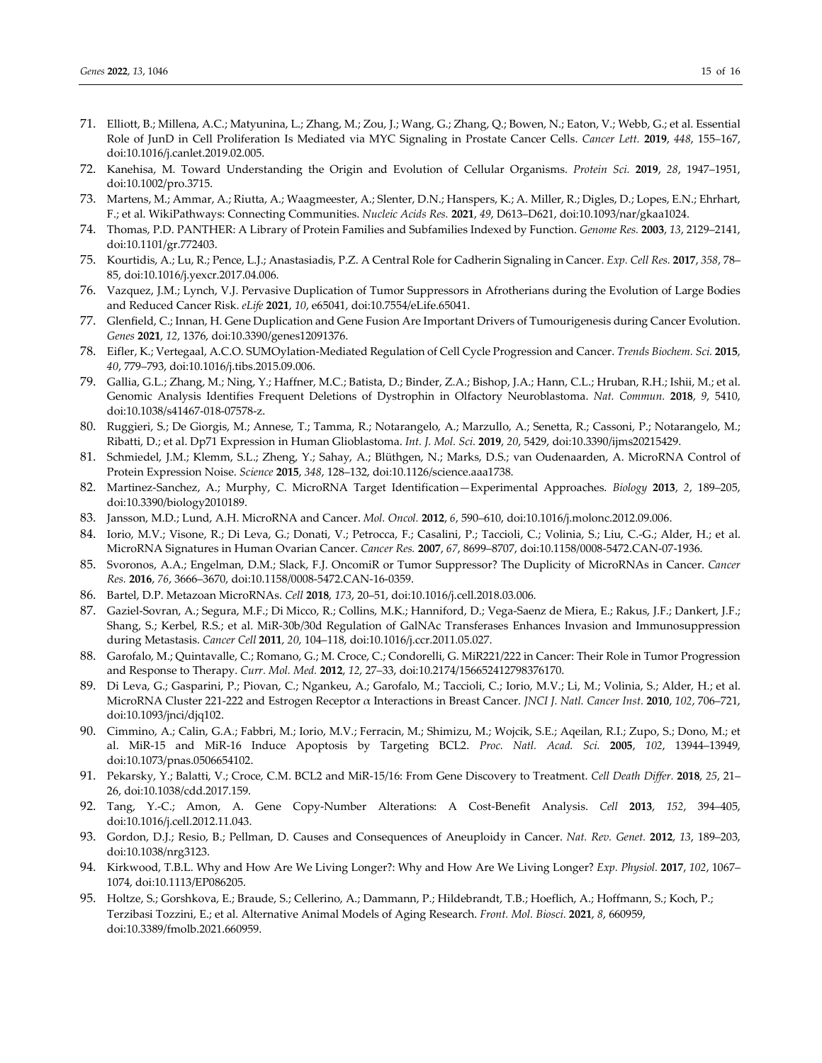- 71. Elliott, B.; Millena, A.C.; Matyunina, L.; Zhang, M.; Zou, J.; Wang, G.; Zhang, Q.; Bowen, N.; Eaton, V.; Webb, G.; et al. Essential Role of JunD in Cell Proliferation Is Mediated via MYC Signaling in Prostate Cancer Cells. *Cancer Lett.* **2019**, *448*, 155–167, doi:10.1016/j.canlet.2019.02.005.
- 72. Kanehisa, M. Toward Understanding the Origin and Evolution of Cellular Organisms. *Protein Sci.* **2019**, *28*, 1947–1951, doi:10.1002/pro.3715.
- 73. Martens, M.; Ammar, A.; Riutta, A.; Waagmeester, A.; Slenter, D.N.; Hanspers, K.; A. Miller, R.; Digles, D.; Lopes, E.N.; Ehrhart, F.; et al. WikiPathways: Connecting Communities. *Nucleic Acids Res.* **2021**, *49*, D613–D621, doi:10.1093/nar/gkaa1024.
- 74. Thomas, P.D. PANTHER: A Library of Protein Families and Subfamilies Indexed by Function. *Genome Res.* **2003**, *13*, 2129–2141, doi:10.1101/gr.772403.
- 75. Kourtidis, A.; Lu, R.; Pence, L.J.; Anastasiadis, P.Z. A Central Role for Cadherin Signaling in Cancer. *Exp. Cell Res.* **2017**, *358*, 78– 85, doi:10.1016/j.yexcr.2017.04.006.
- 76. Vazquez, J.M.; Lynch, V.J. Pervasive Duplication of Tumor Suppressors in Afrotherians during the Evolution of Large Bodies and Reduced Cancer Risk. *eLife* **2021**, *10*, e65041, doi:10.7554/eLife.65041.
- 77. Glenfield, C.; Innan, H. Gene Duplication and Gene Fusion Are Important Drivers of Tumourigenesis during Cancer Evolution. *Genes* **2021**, *12*, 1376, doi:10.3390/genes12091376.
- 78. Eifler, K.; Vertegaal, A.C.O. SUMOylation-Mediated Regulation of Cell Cycle Progression and Cancer. *Trends Biochem. Sci.* **2015**, *40*, 779–793, doi:10.1016/j.tibs.2015.09.006.
- 79. Gallia, G.L.; Zhang, M.; Ning, Y.; Haffner, M.C.; Batista, D.; Binder, Z.A.; Bishop, J.A.; Hann, C.L.; Hruban, R.H.; Ishii, M.; et al. Genomic Analysis Identifies Frequent Deletions of Dystrophin in Olfactory Neuroblastoma. *Nat. Commun.* **2018**, *9*, 5410, doi:10.1038/s41467-018-07578-z.
- 80. Ruggieri, S.; De Giorgis, M.; Annese, T.; Tamma, R.; Notarangelo, A.; Marzullo, A.; Senetta, R.; Cassoni, P.; Notarangelo, M.; Ribatti, D.; et al. Dp71 Expression in Human Glioblastoma. *Int. J. Mol. Sci.* **2019**, *20*, 5429, doi:10.3390/ijms20215429.
- 81. Schmiedel, J.M.; Klemm, S.L.; Zheng, Y.; Sahay, A.; Blüthgen, N.; Marks, D.S.; van Oudenaarden, A. MicroRNA Control of Protein Expression Noise. *Science* **2015**, *348*, 128–132, doi:10.1126/science.aaa1738.
- 82. Martinez-Sanchez, A.; Murphy, C. MicroRNA Target Identification—Experimental Approaches. *Biology* **2013**, *2*, 189–205, doi:10.3390/biology2010189.
- 83. Jansson, M.D.; Lund, A.H. MicroRNA and Cancer. *Mol. Oncol.* **2012**, *6*, 590–610, doi:10.1016/j.molonc.2012.09.006.
- 84. Iorio, M.V.; Visone, R.; Di Leva, G.; Donati, V.; Petrocca, F.; Casalini, P.; Taccioli, C.; Volinia, S.; Liu, C.-G.; Alder, H.; et al. MicroRNA Signatures in Human Ovarian Cancer. *Cancer Res.* **2007**, *67*, 8699–8707, doi:10.1158/0008-5472.CAN-07-1936.
- 85. Svoronos, A.A.; Engelman, D.M.; Slack, F.J. OncomiR or Tumor Suppressor? The Duplicity of MicroRNAs in Cancer. *Cancer Res.* **2016**, *76*, 3666–3670, doi:10.1158/0008-5472.CAN-16-0359.
- 86. Bartel, D.P. Metazoan MicroRNAs. *Cell* **2018**, *173*, 20–51, doi:10.1016/j.cell.2018.03.006.
- 87. Gaziel-Sovran, A.; Segura, M.F.; Di Micco, R.; Collins, M.K.; Hanniford, D.; Vega-Saenz de Miera, E.; Rakus, J.F.; Dankert, J.F.; Shang, S.; Kerbel, R.S.; et al. MiR-30b/30d Regulation of GalNAc Transferases Enhances Invasion and Immunosuppression during Metastasis. *Cancer Cell* **2011**, *20*, 104–118, doi:10.1016/j.ccr.2011.05.027.
- 88. Garofalo, M.; Quintavalle, C.; Romano, G.; M. Croce, C.; Condorelli, G. MiR221/222 in Cancer: Their Role in Tumor Progression and Response to Therapy. *Curr. Mol. Med.* **2012**, *12*, 27–33, doi:10.2174/156652412798376170.
- 89. Di Leva, G.; Gasparini, P.; Piovan, C.; Ngankeu, A.; Garofalo, M.; Taccioli, C.; Iorio, M.V.; Li, M.; Volinia, S.; Alder, H.; et al. MicroRNA Cluster 221-222 and Estrogen Receptor α Interactions in Breast Cancer. *JNCI J. Natl. Cancer Inst.* **2010**, *102*, 706–721, doi:10.1093/jnci/djq102.
- 90. Cimmino, A.; Calin, G.A.; Fabbri, M.; Iorio, M.V.; Ferracin, M.; Shimizu, M.; Wojcik, S.E.; Aqeilan, R.I.; Zupo, S.; Dono, M.; et al. MiR-15 and MiR-16 Induce Apoptosis by Targeting BCL2. *Proc. Natl. Acad. Sci.* **2005**, *102*, 13944–13949, doi:10.1073/pnas.0506654102.
- 91. Pekarsky, Y.; Balatti, V.; Croce, C.M. BCL2 and MiR-15/16: From Gene Discovery to Treatment. *Cell Death Differ.* **2018**, *25*, 21– 26, doi:10.1038/cdd.2017.159.
- 92. Tang, Y.-C.; Amon, A. Gene Copy-Number Alterations: A Cost-Benefit Analysis. *Cell* **2013**, *152*, 394–405, doi:10.1016/j.cell.2012.11.043.
- 93. Gordon, D.J.; Resio, B.; Pellman, D. Causes and Consequences of Aneuploidy in Cancer. *Nat. Rev. Genet.* **2012**, *13*, 189–203, doi:10.1038/nrg3123.
- 94. Kirkwood, T.B.L. Why and How Are We Living Longer?: Why and How Are We Living Longer? *Exp. Physiol.* **2017**, *102*, 1067– 1074, doi:10.1113/EP086205.
- 95. Holtze, S.; Gorshkova, E.; Braude, S.; Cellerino, A.; Dammann, P.; Hildebrandt, T.B.; Hoeflich, A.; Hoffmann, S.; Koch, P.; Terzibasi Tozzini, E.; et al. Alternative Animal Models of Aging Research. *Front. Mol. Biosci.* **2021**, *8*, 660959, doi:10.3389/fmolb.2021.660959.